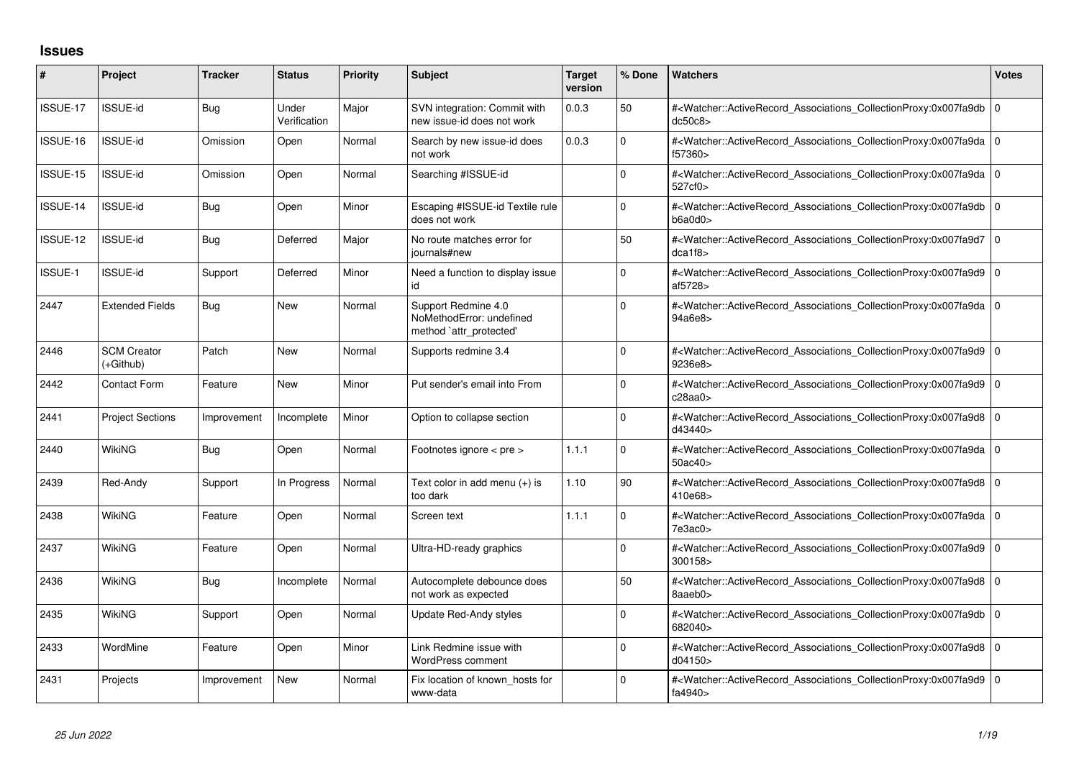## **Issues**

| #        | Project                         | <b>Tracker</b> | <b>Status</b>         | <b>Priority</b> | <b>Subject</b>                                                             | <b>Target</b><br>version | % Done   | <b>Watchers</b>                                                                                                                                          | <b>Votes</b> |
|----------|---------------------------------|----------------|-----------------------|-----------------|----------------------------------------------------------------------------|--------------------------|----------|----------------------------------------------------------------------------------------------------------------------------------------------------------|--------------|
| ISSUE-17 | ISSUE-id                        | Bug            | Under<br>Verification | Major           | SVN integration: Commit with<br>new issue-id does not work                 | 0.0.3                    | 50       | # <watcher::activerecord_associations_collectionproxy:0x007fa9db 0<br="">dc50c8</watcher::activerecord_associations_collectionproxy:0x007fa9db>          |              |
| ISSUE-16 | <b>ISSUE-id</b>                 | Omission       | Open                  | Normal          | Search by new issue-id does<br>not work                                    | 0.0.3                    | 0        | # <watcher::activerecord 0<br="" associations="" collectionproxy:0x007fa9da=""  ="">f57360&gt;</watcher::activerecord>                                   |              |
| ISSUE-15 | <b>ISSUE-id</b>                 | Omission       | Open                  | Normal          | Searching #ISSUE-id                                                        |                          | $\Omega$ | # <watcher::activerecord_associations_collectionproxy:0x007fa9da 0<br="">527cf0&gt;</watcher::activerecord_associations_collectionproxy:0x007fa9da>      |              |
| ISSUE-14 | <b>ISSUE-id</b>                 | Bug            | Open                  | Minor           | Escaping #ISSUE-id Textile rule<br>does not work                           |                          | $\Omega$ | # <watcher::activerecord_associations_collectionproxy:0x007fa9db 0<br="">b6a0d0&gt;</watcher::activerecord_associations_collectionproxy:0x007fa9db>      |              |
| ISSUE-12 | ISSUE-id                        | <b>Bug</b>     | Deferred              | Major           | No route matches error for<br>iournals#new                                 |                          | 50       | # <watcher::activerecord_associations_collectionproxy:0x007fa9d7 0<br="">dca1f8</watcher::activerecord_associations_collectionproxy:0x007fa9d7>          |              |
| ISSUE-1  | <b>ISSUE-id</b>                 | Support        | Deferred              | Minor           | Need a function to display issue<br>id                                     |                          | $\Omega$ | # <watcher::activerecord_associations_collectionproxy:0x007fa9d9 0<br="">af5728&gt;</watcher::activerecord_associations_collectionproxy:0x007fa9d9>      |              |
| 2447     | <b>Extended Fields</b>          | <b>Bug</b>     | <b>New</b>            | Normal          | Support Redmine 4.0<br>NoMethodError: undefined<br>method `attr_protected' |                          | $\Omega$ | # <watcher::activerecord_associations_collectionproxy:0x007fa9da 0<br=""  ="">94a6e8&gt;</watcher::activerecord_associations_collectionproxy:0x007fa9da> |              |
| 2446     | <b>SCM Creator</b><br>(+Github) | Patch          | <b>New</b>            | Normal          | Supports redmine 3.4                                                       |                          | $\Omega$ | # <watcher::activerecord_associations_collectionproxy:0x007fa9d9 0<br="">9236e8&gt;</watcher::activerecord_associations_collectionproxy:0x007fa9d9>      |              |
| 2442     | <b>Contact Form</b>             | Feature        | <b>New</b>            | Minor           | Put sender's email into From                                               |                          | $\Omega$ | # <watcher::activerecord_associations_collectionproxy:0x007fa9d9 0<br="">c28aa0&gt;</watcher::activerecord_associations_collectionproxy:0x007fa9d9>      |              |
| 2441     | <b>Project Sections</b>         | Improvement    | Incomplete            | Minor           | Option to collapse section                                                 |                          | 0        | # <watcher::activerecord_associations_collectionproxy:0x007fa9d8 0<br=""  ="">d43440&gt;</watcher::activerecord_associations_collectionproxy:0x007fa9d8> |              |
| 2440     | <b>WikiNG</b>                   | Bug            | Open                  | Normal          | Footnotes ignore < pre >                                                   | 1.1.1                    | 0        | # <watcher::activerecord_associations_collectionproxy:0x007fa9da 0<br="">50ac40&gt;</watcher::activerecord_associations_collectionproxy:0x007fa9da>      |              |
| 2439     | Red-Andy                        | Support        | In Progress           | Normal          | Text color in add menu $(+)$ is<br>too dark                                | 1.10                     | 90       | # <watcher::activerecord 0<br="" associations="" collectionproxy:0x007fa9d8=""  ="">410e68&gt;</watcher::activerecord>                                   |              |
| 2438     | WikiNG                          | Feature        | Open                  | Normal          | Screen text                                                                | 1.1.1                    | $\Omega$ | # <watcher::activerecord_associations_collectionproxy:0x007fa9da 0<br="">7e3ac0</watcher::activerecord_associations_collectionproxy:0x007fa9da>          |              |
| 2437     | WikiNG                          | Feature        | Open                  | Normal          | Ultra-HD-ready graphics                                                    |                          | $\Omega$ | # <watcher::activerecord 0<br="" associations="" collectionproxy:0x007fa9d9=""  ="">300158&gt;</watcher::activerecord>                                   |              |
| 2436     | WikiNG                          | <b>Bug</b>     | Incomplete            | Normal          | Autocomplete debounce does<br>not work as expected                         |                          | 50       | # <watcher::activerecord_associations_collectionproxy:0x007fa9d8 0<br=""  ="">8aaeb0&gt;</watcher::activerecord_associations_collectionproxy:0x007fa9d8> |              |
| 2435     | WikiNG                          | Support        | Open                  | Normal          | Update Red-Andy styles                                                     |                          | $\Omega$ | # <watcher::activerecord_associations_collectionproxy:0x007fa9db 0<br="">682040&gt;</watcher::activerecord_associations_collectionproxy:0x007fa9db>      |              |
| 2433     | WordMine                        | Feature        | Open                  | Minor           | Link Redmine issue with<br>WordPress comment                               |                          | $\Omega$ | # <watcher::activerecord_associations_collectionproxy:0x007fa9d8 0<br=""  ="">d04150&gt;</watcher::activerecord_associations_collectionproxy:0x007fa9d8> |              |
| 2431     | Projects                        | Improvement    | <b>New</b>            | Normal          | Fix location of known_hosts for<br>www-data                                |                          | $\Omega$ | # <watcher::activerecord_associations_collectionproxy:0x007fa9d9 0<br="">fa4940&gt;</watcher::activerecord_associations_collectionproxy:0x007fa9d9>      |              |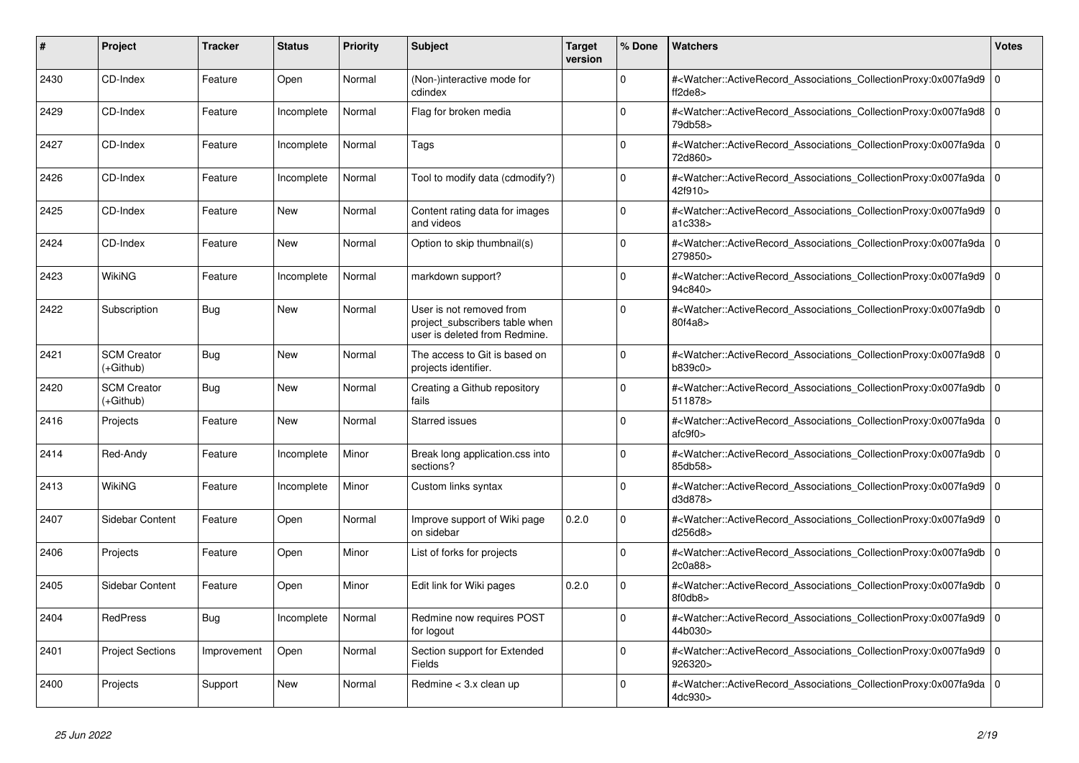| #    | Project                         | <b>Tracker</b> | <b>Status</b> | Priority | <b>Subject</b>                                                                              | <b>Target</b><br>version | % Done       | <b>Watchers</b>                                                                                                                                          | Votes |
|------|---------------------------------|----------------|---------------|----------|---------------------------------------------------------------------------------------------|--------------------------|--------------|----------------------------------------------------------------------------------------------------------------------------------------------------------|-------|
| 2430 | CD-Index                        | Feature        | Open          | Normal   | (Non-)interactive mode for<br>cdindex                                                       |                          | $\Omega$     | # <watcher::activerecord_associations_collectionproxy:0x007fa9d9<br>ft2de8</watcher::activerecord_associations_collectionproxy:0x007fa9d9<br>            | l o   |
| 2429 | CD-Index                        | Feature        | Incomplete    | Normal   | Flag for broken media                                                                       |                          | 0            | # <watcher::activerecord_associations_collectionproxy:0x007fa9d8 0<br=""  ="">79db58&gt;</watcher::activerecord_associations_collectionproxy:0x007fa9d8> |       |
| 2427 | CD-Index                        | Feature        | Incomplete    | Normal   | Tags                                                                                        |                          | $\Omega$     | # <watcher::activerecord_associations_collectionproxy:0x007fa9da 0<br=""  ="">72d860&gt;</watcher::activerecord_associations_collectionproxy:0x007fa9da> |       |
| 2426 | CD-Index                        | Feature        | Incomplete    | Normal   | Tool to modify data (cdmodify?)                                                             |                          | $\Omega$     | # <watcher::activerecord_associations_collectionproxy:0x007fa9da 0<br=""  ="">42f910&gt;</watcher::activerecord_associations_collectionproxy:0x007fa9da> |       |
| 2425 | CD-Index                        | Feature        | <b>New</b>    | Normal   | Content rating data for images<br>and videos                                                |                          | $\Omega$     | # <watcher::activerecord 0<br="" associations="" collectionproxy:0x007fa9d9=""  ="">a1c338&gt;</watcher::activerecord>                                   |       |
| 2424 | CD-Index                        | Feature        | <b>New</b>    | Normal   | Option to skip thumbnail(s)                                                                 |                          | $\Omega$     | # <watcher::activerecord_associations_collectionproxy:0x007fa9da 0<br=""  ="">279850&gt;</watcher::activerecord_associations_collectionproxy:0x007fa9da> |       |
| 2423 | WikiNG                          | Feature        | Incomplete    | Normal   | markdown support?                                                                           |                          | O            | # <watcher::activerecord associations="" collectionproxy:0x007fa9d9<br="">94c840&gt;</watcher::activerecord>                                             | l O   |
| 2422 | Subscription                    | Bug            | <b>New</b>    | Normal   | User is not removed from<br>project subscribers table when<br>user is deleted from Redmine. |                          | 0            | # <watcher::activerecord 0<br="" associations="" collectionproxy:0x007fa9db=""  ="">80f4a8&gt;</watcher::activerecord>                                   |       |
| 2421 | <b>SCM Creator</b><br>(+Github) | <b>Bug</b>     | <b>New</b>    | Normal   | The access to Git is based on<br>projects identifier.                                       |                          | $\Omega$     | # <watcher::activerecord_associations_collectionproxy:0x007fa9d8 0<br=""  ="">b839c0&gt;</watcher::activerecord_associations_collectionproxy:0x007fa9d8> |       |
| 2420 | <b>SCM Creator</b><br>(+Github) | Bug            | New           | Normal   | Creating a Github repository<br>fails                                                       |                          | $\Omega$     | # <watcher::activerecord_associations_collectionproxy:0x007fa9db<br>511878&gt;</watcher::activerecord_associations_collectionproxy:0x007fa9db<br>        | l 0   |
| 2416 | Projects                        | Feature        | <b>New</b>    | Normal   | <b>Starred issues</b>                                                                       |                          | <sup>0</sup> | # <watcher::activerecord_associations_collectionproxy:0x007fa9da 0<br=""  ="">atc9f0</watcher::activerecord_associations_collectionproxy:0x007fa9da>     |       |
| 2414 | Red-Andy                        | Feature        | Incomplete    | Minor    | Break long application.css into<br>sections?                                                |                          | $\Omega$     | # <watcher::activerecord associations="" collectionproxy:0x007fa9db<br="">85db58&gt;</watcher::activerecord>                                             | l O   |
| 2413 | WikiNG                          | Feature        | Incomplete    | Minor    | Custom links syntax                                                                         |                          | <sup>0</sup> | # <watcher::activerecord_associations_collectionproxy:0x007fa9d9<br>d3d878&gt;</watcher::activerecord_associations_collectionproxy:0x007fa9d9<br>        | l o   |
| 2407 | <b>Sidebar Content</b>          | Feature        | Open          | Normal   | Improve support of Wiki page<br>on sidebar                                                  | 0.2.0                    | $\Omega$     | # <watcher::activerecord_associations_collectionproxy:0x007fa9d9 0<br=""  ="">d256d8&gt;</watcher::activerecord_associations_collectionproxy:0x007fa9d9> |       |
| 2406 | Projects                        | Feature        | Open          | Minor    | List of forks for projects                                                                  |                          | $\Omega$     | # <watcher::activerecord 0<br="" associations="" collectionproxy:0x007fa9db=""  ="">2c0a88&gt;</watcher::activerecord>                                   |       |
| 2405 | <b>Sidebar Content</b>          | Feature        | Open          | Minor    | Edit link for Wiki pages                                                                    | 0.2.0                    | 0            | # <watcher::activerecord associations="" collectionproxy:0x007fa9db<br="">8f0db8</watcher::activerecord>                                                 | 0     |
| 2404 | <b>RedPress</b>                 | Bug            | Incomplete    | Normal   | Redmine now requires POST<br>for logout                                                     |                          | $\Omega$     | # <watcher::activerecord_associations_collectionproxy:0x007fa9d9 0<br=""  ="">44b030&gt;</watcher::activerecord_associations_collectionproxy:0x007fa9d9> |       |
| 2401 | <b>Project Sections</b>         | Improvement    | Open          | Normal   | Section support for Extended<br>Fields                                                      |                          | $\Omega$     | # <watcher::activerecord_associations_collectionproxy:0x007fa9d9<br>926320&gt;</watcher::activerecord_associations_collectionproxy:0x007fa9d9<br>        | l O   |
| 2400 | Projects                        | Support        | <b>New</b>    | Normal   | Redmine $<$ 3.x clean up                                                                    |                          | $\Omega$     | # <watcher::activerecord 0<br="" associations="" collectionproxy:0x007fa9da=""  ="">4dc930&gt;</watcher::activerecord>                                   |       |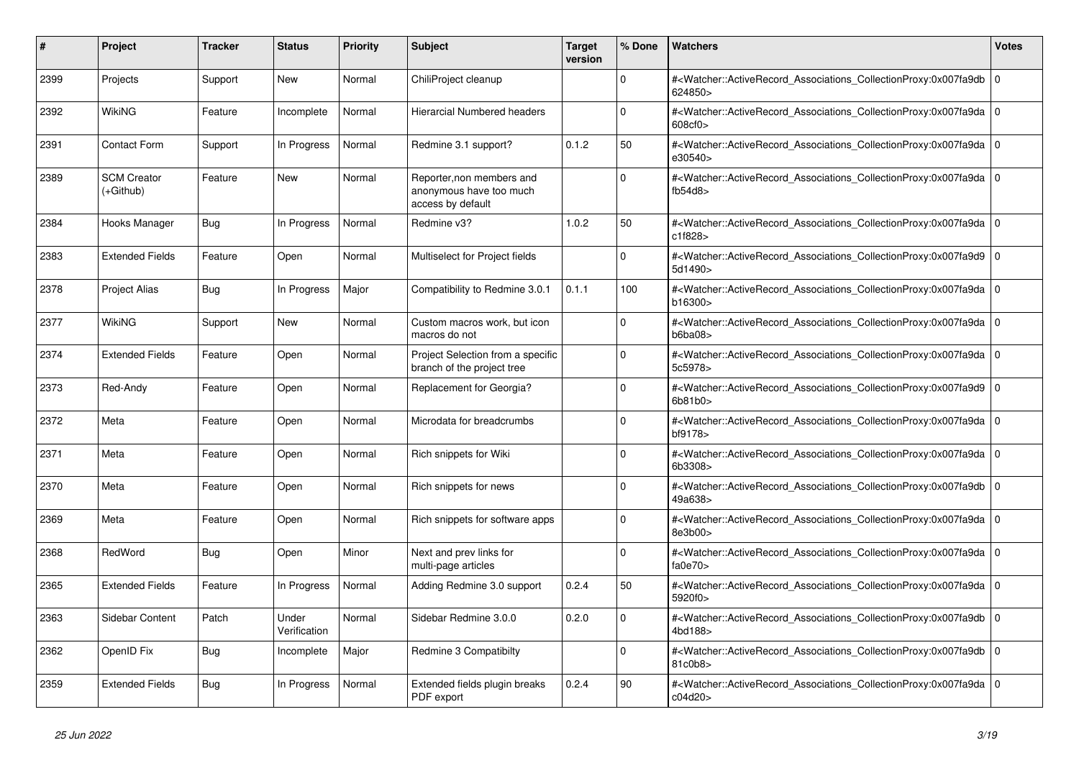| #    | Project                         | <b>Tracker</b> | <b>Status</b>         | <b>Priority</b> | <b>Subject</b>                                                            | <b>Target</b><br>version | % Done       | <b>Watchers</b>                                                                                                                                          | Votes |
|------|---------------------------------|----------------|-----------------------|-----------------|---------------------------------------------------------------------------|--------------------------|--------------|----------------------------------------------------------------------------------------------------------------------------------------------------------|-------|
| 2399 | Projects                        | Support        | <b>New</b>            | Normal          | ChiliProject cleanup                                                      |                          | $\Omega$     | # <watcher::activerecord_associations_collectionproxy:0x007fa9db<br>624850&gt;</watcher::activerecord_associations_collectionproxy:0x007fa9db<br>        | l o   |
| 2392 | WikiNG                          | Feature        | Incomplete            | Normal          | Hierarcial Numbered headers                                               |                          | 0            | # <watcher::activerecord_associations_collectionproxy:0x007fa9da 0<br=""  ="">608cf0&gt;</watcher::activerecord_associations_collectionproxy:0x007fa9da> |       |
| 2391 | <b>Contact Form</b>             | Support        | In Progress           | Normal          | Redmine 3.1 support?                                                      | 0.1.2                    | 50           | # <watcher::activerecord 0<br="" associations="" collectionproxy:0x007fa9da=""  ="">e30540&gt;</watcher::activerecord>                                   |       |
| 2389 | <b>SCM Creator</b><br>(+Github) | Feature        | <b>New</b>            | Normal          | Reporter, non members and<br>anonymous have too much<br>access by default |                          | $\Omega$     | # <watcher::activerecord_associations_collectionproxy:0x007fa9da 0<br=""  ="">fb54d8</watcher::activerecord_associations_collectionproxy:0x007fa9da>     |       |
| 2384 | Hooks Manager                   | <b>Bug</b>     | In Progress           | Normal          | Redmine v3?                                                               | 1.0.2                    | 50           | # <watcher::activerecord_associations_collectionproxy:0x007fa9da 0<br=""  ="">c1f828&gt;</watcher::activerecord_associations_collectionproxy:0x007fa9da> |       |
| 2383 | <b>Extended Fields</b>          | Feature        | Open                  | Normal          | Multiselect for Project fields                                            |                          | $\Omega$     | # <watcher::activerecord 0<br="" associations="" collectionproxy:0x007fa9d9=""  ="">5d1490&gt;</watcher::activerecord>                                   |       |
| 2378 | <b>Project Alias</b>            | Bug            | In Progress           | Major           | Compatibility to Redmine 3.0.1                                            | 0.1.1                    | 100          | # <watcher::activerecord_associations_collectionproxy:0x007fa9da 0<br=""  ="">b16300&gt;</watcher::activerecord_associations_collectionproxy:0x007fa9da> |       |
| 2377 | WikiNG                          | Support        | <b>New</b>            | Normal          | Custom macros work, but icon<br>macros do not                             |                          | $\Omega$     | # <watcher::activerecord_associations_collectionproxy:0x007fa9da 0<br=""  ="">b6ba08</watcher::activerecord_associations_collectionproxy:0x007fa9da>     |       |
| 2374 | <b>Extended Fields</b>          | Feature        | Open                  | Normal          | Project Selection from a specific<br>branch of the project tree           |                          | $\Omega$     | # <watcher::activerecord_associations_collectionproxy:0x007fa9da 0<br=""  ="">5c5978&gt;</watcher::activerecord_associations_collectionproxy:0x007fa9da> |       |
| 2373 | Red-Andy                        | Feature        | Open                  | Normal          | Replacement for Georgia?                                                  |                          | $\Omega$     | # <watcher::activerecord_associations_collectionproxy:0x007fa9d9<br>6b81b0&gt;</watcher::activerecord_associations_collectionproxy:0x007fa9d9<br>        | l o   |
| 2372 | Meta                            | Feature        | Open                  | Normal          | Microdata for breadcrumbs                                                 |                          | <sup>0</sup> | # <watcher::activerecord 0<br="" associations="" collectionproxy:0x007fa9da=""  ="">bf9178&gt;</watcher::activerecord>                                   |       |
| 2371 | Meta                            | Feature        | Open                  | Normal          | Rich snippets for Wiki                                                    |                          | $\Omega$     | # <watcher::activerecord_associations_collectionproxy:0x007fa9da 0<br=""  ="">6b3308&gt;</watcher::activerecord_associations_collectionproxy:0x007fa9da> |       |
| 2370 | Meta                            | Feature        | Open                  | Normal          | Rich snippets for news                                                    |                          | $\Omega$     | # <watcher::activerecord associations="" collectionproxy:0x007fa9db<br="">49a638&gt;</watcher::activerecord>                                             | 0     |
| 2369 | Meta                            | Feature        | Open                  | Normal          | Rich snippets for software apps                                           |                          | $\Omega$     | # <watcher::activerecord 0<br="" associations="" collectionproxy:0x007fa9da=""  ="">8e3b00&gt;</watcher::activerecord>                                   |       |
| 2368 | RedWord                         | <b>Bug</b>     | Open                  | Minor           | Next and prev links for<br>multi-page articles                            |                          | $\Omega$     | # <watcher::activerecord_associations_collectionproxy:0x007fa9da 0<br=""  ="">fa0e70&gt;</watcher::activerecord_associations_collectionproxy:0x007fa9da> |       |
| 2365 | <b>Extended Fields</b>          | Feature        | In Progress           | Normal          | Adding Redmine 3.0 support                                                | 0.2.4                    | 50           | # <watcher::activerecord associations="" collectionproxy:0x007fa9da<br="">5920f0&gt;</watcher::activerecord>                                             | l O   |
| 2363 | Sidebar Content                 | Patch          | Under<br>Verification | Normal          | Sidebar Redmine 3.0.0                                                     | 0.2.0                    | <sup>0</sup> | # <watcher::activerecord_associations_collectionproxy:0x007fa9db<br>4bd188&gt;</watcher::activerecord_associations_collectionproxy:0x007fa9db<br>        | l o   |
| 2362 | OpenID Fix                      | <b>Bug</b>     | Incomplete            | Major           | Redmine 3 Compatibilty                                                    |                          | $\Omega$     | # <watcher::activerecord associations="" collectionproxy:0x007fa9db<br="">81c0b8&gt;</watcher::activerecord>                                             | l O   |
| 2359 | <b>Extended Fields</b>          | <b>Bug</b>     | In Progress           | Normal          | Extended fields plugin breaks<br>PDF export                               | 0.2.4                    | 90           | # <watcher::activerecord_associations_collectionproxy:0x007fa9da<br>c04d20&gt;</watcher::activerecord_associations_collectionproxy:0x007fa9da<br>        | l O   |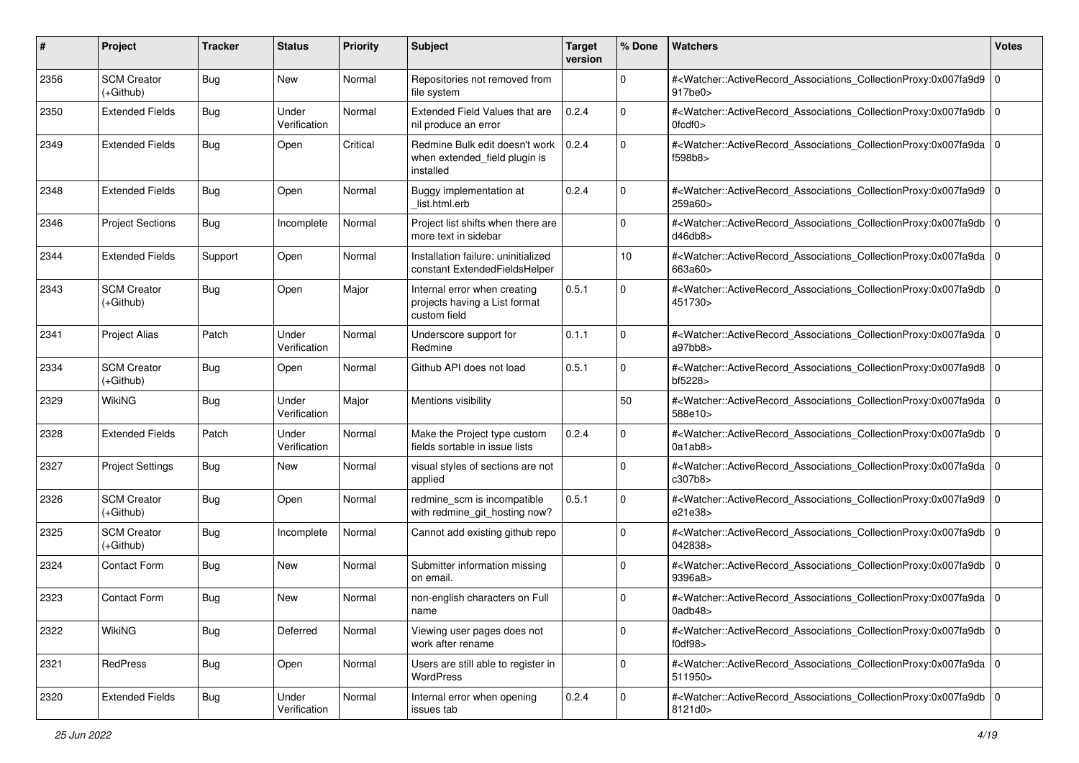| #    | Project                           | <b>Tracker</b> | <b>Status</b>         | <b>Priority</b> | <b>Subject</b>                                                                | <b>Target</b><br>version | % Done      | Watchers                                                                                                                                                                  | <b>Votes</b> |
|------|-----------------------------------|----------------|-----------------------|-----------------|-------------------------------------------------------------------------------|--------------------------|-------------|---------------------------------------------------------------------------------------------------------------------------------------------------------------------------|--------------|
| 2356 | <b>SCM Creator</b><br>$(+Github)$ | <b>Bug</b>     | New                   | Normal          | Repositories not removed from<br>file system                                  |                          | 0           | # <watcher::activerecord 0<br="" associations="" collectionproxy:0x007fa9d9=""><math>917</math>be<math>0</math></watcher::activerecord>                                   |              |
| 2350 | <b>Extended Fields</b>            | <b>Bug</b>     | Under<br>Verification | Normal          | Extended Field Values that are<br>nil produce an error                        | 0.2.4                    | $\Omega$    | # <watcher::activerecord_associations_collectionproxy:0x007fa9db 0<br=""><math>0</math>fcdf<math>0</math></watcher::activerecord_associations_collectionproxy:0x007fa9db> |              |
| 2349 | <b>Extended Fields</b>            | <b>Bug</b>     | Open                  | Critical        | Redmine Bulk edit doesn't work<br>when extended_field plugin is<br>installed  | 0.2.4                    | $\Omega$    | # <watcher::activerecord_associations_collectionproxy:0x007fa9da 0<br=""  ="">f598b8&gt;</watcher::activerecord_associations_collectionproxy:0x007fa9da>                  |              |
| 2348 | <b>Extended Fields</b>            | <b>Bug</b>     | Open                  | Normal          | Buggy implementation at<br>list.html.erb                                      | 0.2.4                    | 0           | # <watcher::activerecord_associations_collectionproxy:0x007fa9d9 0<br=""  ="">259a60&gt;</watcher::activerecord_associations_collectionproxy:0x007fa9d9>                  |              |
| 2346 | <b>Project Sections</b>           | Bug            | Incomplete            | Normal          | Project list shifts when there are<br>more text in sidebar                    |                          | $\Omega$    | # <watcher::activerecord_associations_collectionproxy:0x007fa9db 0<br=""  ="">d46db8</watcher::activerecord_associations_collectionproxy:0x007fa9db>                      |              |
| 2344 | <b>Extended Fields</b>            | Support        | Open                  | Normal          | Installation failure: uninitialized<br>constant ExtendedFieldsHelper          |                          | 10          | # <watcher::activerecord_associations_collectionproxy:0x007fa9da 0<br=""  ="">663a60&gt;</watcher::activerecord_associations_collectionproxy:0x007fa9da>                  |              |
| 2343 | <b>SCM Creator</b><br>(+Github)   | Bug            | Open                  | Major           | Internal error when creating<br>projects having a List format<br>custom field | 0.5.1                    | $\Omega$    | # <watcher::activerecord_associations_collectionproxy:0x007fa9db 0<br="">451730&gt;</watcher::activerecord_associations_collectionproxy:0x007fa9db>                       |              |
| 2341 | <b>Project Alias</b>              | Patch          | Under<br>Verification | Normal          | Underscore support for<br>Redmine                                             | 0.1.1                    | $\Omega$    | # <watcher::activerecord_associations_collectionproxy:0x007fa9da 0<br=""  ="">a97bb8</watcher::activerecord_associations_collectionproxy:0x007fa9da>                      |              |
| 2334 | <b>SCM Creator</b><br>(+Github)   | Bug            | Open                  | Normal          | Github API does not load                                                      | 0.5.1                    | $\Omega$    | # <watcher::activerecord_associations_collectionproxy:0x007fa9d8 0<br=""  ="">bf5228&gt;</watcher::activerecord_associations_collectionproxy:0x007fa9d8>                  |              |
| 2329 | <b>WikiNG</b>                     | <b>Bug</b>     | Under<br>Verification | Major           | Mentions visibility                                                           |                          | 50          | # <watcher::activerecord_associations_collectionproxy:0x007fa9da 0<br=""  ="">588e10&gt;</watcher::activerecord_associations_collectionproxy:0x007fa9da>                  |              |
| 2328 | <b>Extended Fields</b>            | Patch          | Under<br>Verification | Normal          | Make the Project type custom<br>fields sortable in issue lists                | 0.2.4                    | $\Omega$    | # <watcher::activerecord_associations_collectionproxy:0x007fa9db 0<br=""  ="">0a1ab8</watcher::activerecord_associations_collectionproxy:0x007fa9db>                      |              |
| 2327 | <b>Project Settings</b>           | <b>Bug</b>     | New                   | Normal          | visual styles of sections are not<br>applied                                  |                          | $\Omega$    | # <watcher::activerecord_associations_collectionproxy:0x007fa9da 0<br=""  ="">c307b8&gt;</watcher::activerecord_associations_collectionproxy:0x007fa9da>                  |              |
| 2326 | <b>SCM Creator</b><br>(+Github)   | Bug            | Open                  | Normal          | redmine_scm is incompatible<br>with redmine_git_hosting now?                  | 0.5.1                    | $\Omega$    | # <watcher::activerecord_associations_collectionproxy:0x007fa9d9 0<br="">e21e38&gt;</watcher::activerecord_associations_collectionproxy:0x007fa9d9>                       |              |
| 2325 | <b>SCM Creator</b><br>$(+Github)$ | <b>Bug</b>     | Incomplete            | Normal          | Cannot add existing github repo                                               |                          | $\mathbf 0$ | # <watcher::activerecord_associations_collectionproxy:0x007fa9db 0<br=""  ="">042838&gt;</watcher::activerecord_associations_collectionproxy:0x007fa9db>                  |              |
| 2324 | Contact Form                      | Bug            | New                   | Normal          | Submitter information missing<br>on email.                                    |                          | $\Omega$    | # <watcher::activerecord_associations_collectionproxy:0x007fa9db 0<br=""  ="">9396a8&gt;</watcher::activerecord_associations_collectionproxy:0x007fa9db>                  |              |
| 2323 | <b>Contact Form</b>               | <b>Bug</b>     | New                   | Normal          | non-english characters on Full<br>name                                        |                          | $\Omega$    | # <watcher::activerecord_associations_collectionproxy:0x007fa9da 0<br="">0adb48&gt;</watcher::activerecord_associations_collectionproxy:0x007fa9da>                       |              |
| 2322 | WikiNG                            | Bug            | Deferred              | Normal          | Viewing user pages does not<br>work after rename                              |                          | $\mathbf 0$ | # <watcher::activerecord 0<br="" associations="" collectionproxy:0x007fa9db="">f0df98</watcher::activerecord>                                                             |              |
| 2321 | RedPress                          | Bug            | Open                  | Normal          | Users are still able to register in<br>WordPress                              |                          | $\Omega$    | # <watcher::activerecord 0<br="" associations="" collectionproxy:0x007fa9da="">511950&gt;</watcher::activerecord>                                                         |              |
| 2320 | <b>Extended Fields</b>            | Bug            | Under<br>Verification | Normal          | Internal error when opening<br>issues tab                                     | 0.2.4                    | $\mathbf 0$ | # <watcher::activerecord_associations_collectionproxy:0x007fa9db 0<br=""  ="">8121d0&gt;</watcher::activerecord_associations_collectionproxy:0x007fa9db>                  |              |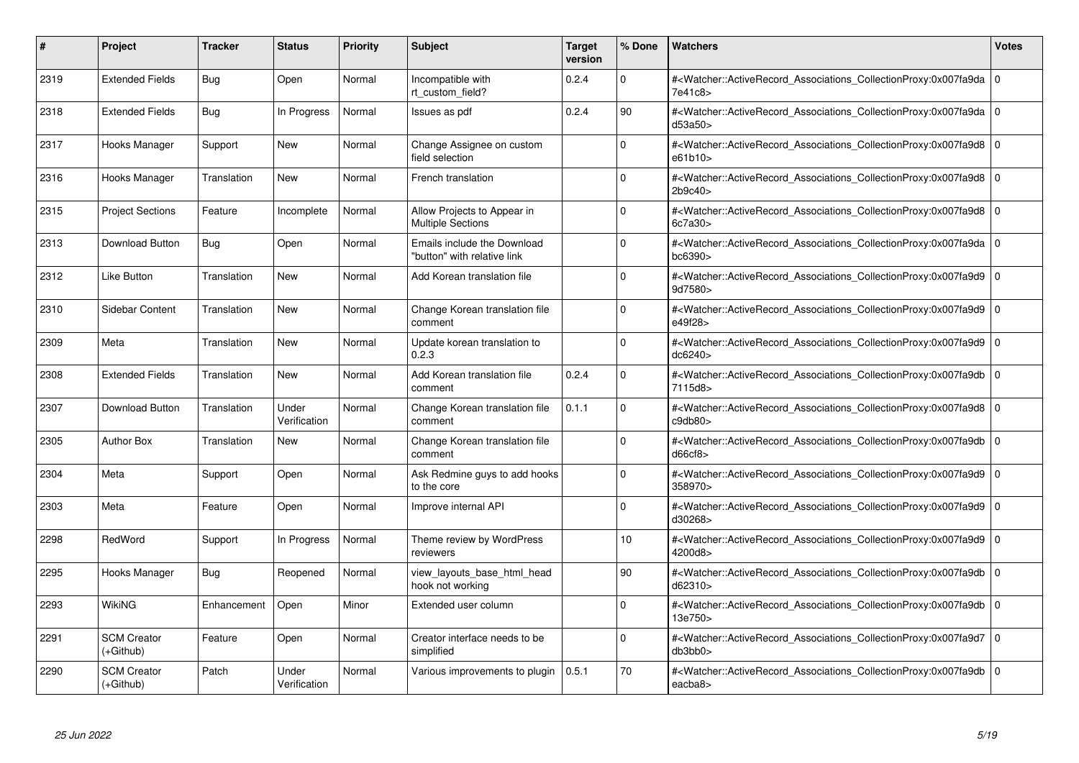| #    | Project                           | <b>Tracker</b> | <b>Status</b>         | <b>Priority</b> | <b>Subject</b>                                             | <b>Target</b><br>version | % Done      | <b>Watchers</b>                                                                                                                                          | <b>Votes</b> |
|------|-----------------------------------|----------------|-----------------------|-----------------|------------------------------------------------------------|--------------------------|-------------|----------------------------------------------------------------------------------------------------------------------------------------------------------|--------------|
| 2319 | <b>Extended Fields</b>            | Bug            | Open                  | Normal          | Incompatible with<br>rt_custom_field?                      | 0.2.4                    | $\Omega$    | # <watcher::activerecord 0<br="" associations="" collectionproxy:0x007fa9da=""  ="">7e41c8&gt;</watcher::activerecord>                                   |              |
| 2318 | <b>Extended Fields</b>            | Bug            | In Progress           | Normal          | Issues as pdf                                              | 0.2.4                    | 90          | # <watcher::activerecord 0<br="" associations="" collectionproxy:0x007fa9da=""  ="">d53a50&gt;</watcher::activerecord>                                   |              |
| 2317 | Hooks Manager                     | Support        | New                   | Normal          | Change Assignee on custom<br>field selection               |                          | $\Omega$    | # <watcher::activerecord_associations_collectionproxy:0x007fa9d8 0<br="">e61b10&gt;</watcher::activerecord_associations_collectionproxy:0x007fa9d8>      |              |
| 2316 | Hooks Manager                     | Translation    | New                   | Normal          | French translation                                         |                          | $\Omega$    | # <watcher::activerecord_associations_collectionproxy:0x007fa9d8 0<br="">2b9c40</watcher::activerecord_associations_collectionproxy:0x007fa9d8>          |              |
| 2315 | <b>Project Sections</b>           | Feature        | Incomplete            | Normal          | Allow Projects to Appear in<br><b>Multiple Sections</b>    |                          | $\Omega$    | # <watcher::activerecord_associations_collectionproxy:0x007fa9d8 0<br=""  ="">6c7a30&gt;</watcher::activerecord_associations_collectionproxy:0x007fa9d8> |              |
| 2313 | Download Button                   | Bug            | Open                  | Normal          | Emails include the Download<br>"button" with relative link |                          | $\Omega$    | # <watcher::activerecord_associations_collectionproxy:0x007fa9da 0<br="">bc6390&gt;</watcher::activerecord_associations_collectionproxy:0x007fa9da>      |              |
| 2312 | Like Button                       | Translation    | New                   | Normal          | Add Korean translation file                                |                          | $\Omega$    | # <watcher::activerecord associations="" collectionproxy:0x007fa9d9<br="">9d7580&gt;</watcher::activerecord>                                             | l O          |
| 2310 | Sidebar Content                   | Translation    | <b>New</b>            | Normal          | Change Korean translation file<br>comment                  |                          | $\Omega$    | # <watcher::activerecord_associations_collectionproxy:0x007fa9d9 0<br=""  ="">e49f28&gt;</watcher::activerecord_associations_collectionproxy:0x007fa9d9> |              |
| 2309 | Meta                              | Translation    | <b>New</b>            | Normal          | Update korean translation to<br>0.2.3                      |                          | $\Omega$    | # <watcher::activerecord_associations_collectionproxy:0x007fa9d9 0<br=""  ="">dc6240&gt;</watcher::activerecord_associations_collectionproxy:0x007fa9d9> |              |
| 2308 | <b>Extended Fields</b>            | Translation    | <b>New</b>            | Normal          | Add Korean translation file<br>comment                     | 0.2.4                    | $\Omega$    | # <watcher::activerecord 0<br="" associations="" collectionproxy:0x007fa9db=""  ="">7115d8&gt;</watcher::activerecord>                                   |              |
| 2307 | Download Button                   | Translation    | Under<br>Verification | Normal          | Change Korean translation file<br>comment                  | 0.1.1                    | $\Omega$    | # <watcher::activerecord_associations_collectionproxy:0x007fa9d8 0<br="">c9db80&gt;</watcher::activerecord_associations_collectionproxy:0x007fa9d8>      |              |
| 2305 | <b>Author Box</b>                 | Translation    | <b>New</b>            | Normal          | Change Korean translation file<br>comment                  |                          | $\Omega$    | # <watcher::activerecord_associations_collectionproxy:0x007fa9db 0<br=""  ="">d66cf8&gt;</watcher::activerecord_associations_collectionproxy:0x007fa9db> |              |
| 2304 | Meta                              | Support        | Open                  | Normal          | Ask Redmine guys to add hooks<br>to the core               |                          | $\Omega$    | # <watcher::activerecord 0<br="" associations="" collectionproxy:0x007fa9d9=""  ="">358970&gt;</watcher::activerecord>                                   |              |
| 2303 | Meta                              | Feature        | Open                  | Normal          | Improve internal API                                       |                          | $\Omega$    | # <watcher::activerecord_associations_collectionproxy:0x007fa9d9 0<br="">d30268&gt;</watcher::activerecord_associations_collectionproxy:0x007fa9d9>      |              |
| 2298 | RedWord                           | Support        | In Progress           | Normal          | Theme review by WordPress<br>reviewers                     |                          | 10          | # <watcher::activerecord 0<br="" associations="" collectionproxy:0x007fa9d9=""  ="">4200d8&gt;</watcher::activerecord>                                   |              |
| 2295 | Hooks Manager                     | Bug            | Reopened              | Normal          | view layouts base html head<br>hook not working            |                          | 90          | # <watcher::activerecord_associations_collectionproxy:0x007fa9db 0<br=""  ="">d62310&gt;</watcher::activerecord_associations_collectionproxy:0x007fa9db> |              |
| 2293 | WikiNG                            | Enhancement    | Open                  | Minor           | Extended user column                                       |                          | $\Omega$    | # <watcher::activerecord_associations_collectionproxy:0x007fa9db 0<br=""  ="">13e750&gt;</watcher::activerecord_associations_collectionproxy:0x007fa9db> |              |
| 2291 | <b>SCM Creator</b><br>(+Github)   | Feature        | Open                  | Normal          | Creator interface needs to be<br>simplified                |                          | $\mathbf 0$ | # <watcher::activerecord 0<br="" associations="" collectionproxy:0x007fa9d7=""  ="">db3bb0</watcher::activerecord>                                       |              |
| 2290 | <b>SCM Creator</b><br>$(+Github)$ | Patch          | Under<br>Verification | Normal          | Various improvements to plugin                             | 0.5.1                    | 70          | # <watcher::activerecord_associations_collectionproxy:0x007fa9db 0<br=""  ="">eacba8&gt;</watcher::activerecord_associations_collectionproxy:0x007fa9db> |              |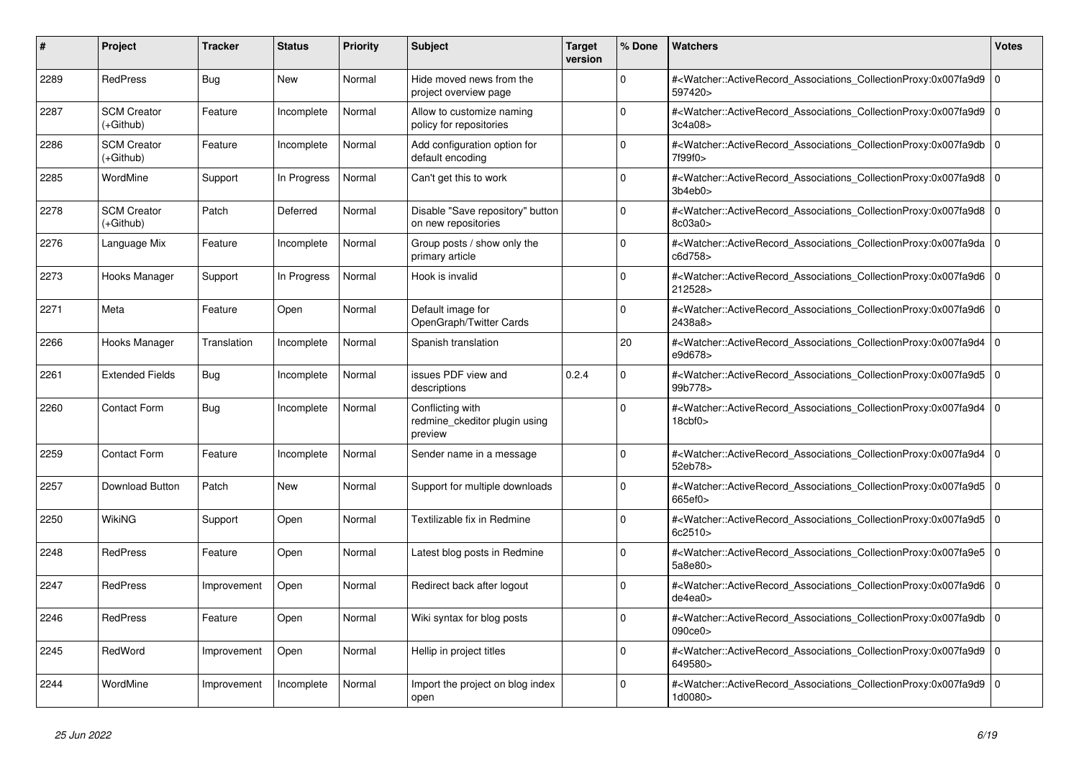| #    | <b>Project</b>                  | <b>Tracker</b> | <b>Status</b> | Priority | <b>Subject</b>                                               | <b>Target</b><br>version | % Done   | Watchers                                                                                                                                                                       | <b>Votes</b> |
|------|---------------------------------|----------------|---------------|----------|--------------------------------------------------------------|--------------------------|----------|--------------------------------------------------------------------------------------------------------------------------------------------------------------------------------|--------------|
| 2289 | <b>RedPress</b>                 | Bug            | <b>New</b>    | Normal   | Hide moved news from the<br>project overview page            |                          | $\Omega$ | # <watcher::activerecord_associations_collectionproxy:0x007fa9d9 0<br=""  ="">597420&gt;</watcher::activerecord_associations_collectionproxy:0x007fa9d9>                       |              |
| 2287 | <b>SCM Creator</b><br>(+Github) | Feature        | Incomplete    | Normal   | Allow to customize naming<br>policy for repositories         |                          | $\Omega$ | # <watcher::activerecord_associations_collectionproxy:0x007fa9d9 0<br=""  ="">3c4a08&gt;</watcher::activerecord_associations_collectionproxy:0x007fa9d9>                       |              |
| 2286 | <b>SCM Creator</b><br>(+Github) | Feature        | Incomplete    | Normal   | Add configuration option for<br>default encoding             |                          | $\Omega$ | # <watcher::activerecord_associations_collectionproxy:0x007fa9db 0<br=""  ="">7f99f0&gt;</watcher::activerecord_associations_collectionproxy:0x007fa9db>                       |              |
| 2285 | WordMine                        | Support        | In Progress   | Normal   | Can't get this to work                                       |                          | $\Omega$ | # <watcher::activerecord_associations_collectionproxy:0x007fa9d8 0<br=""  ="">3b4eb0</watcher::activerecord_associations_collectionproxy:0x007fa9d8>                           |              |
| 2278 | <b>SCM Creator</b><br>(+Github) | Patch          | Deferred      | Normal   | Disable "Save repository" button<br>on new repositories      |                          | $\Omega$ | # <watcher::activerecord_associations_collectionproxy:0x007fa9d8 0<br=""  ="">8c03a0&gt;</watcher::activerecord_associations_collectionproxy:0x007fa9d8>                       |              |
| 2276 | Language Mix                    | Feature        | Incomplete    | Normal   | Group posts / show only the<br>primary article               |                          | $\Omega$ | # <watcher::activerecord_associations_collectionproxy:0x007fa9da 0<br=""  ="">c6d758&gt;</watcher::activerecord_associations_collectionproxy:0x007fa9da>                       |              |
| 2273 | Hooks Manager                   | Support        | In Progress   | Normal   | Hook is invalid                                              |                          | $\Omega$ | # <watcher::activerecord_associations_collectionproxy:0x007fa9d6 0<br=""  ="">212528&gt;</watcher::activerecord_associations_collectionproxy:0x007fa9d6>                       |              |
| 2271 | Meta                            | Feature        | Open          | Normal   | Default image for<br>OpenGraph/Twitter Cards                 |                          | 0        | # <watcher::activerecord_associations_collectionproxy:0x007fa9d6 0<br=""  ="">2438a8&gt;</watcher::activerecord_associations_collectionproxy:0x007fa9d6>                       |              |
| 2266 | Hooks Manager                   | Translation    | Incomplete    | Normal   | Spanish translation                                          |                          | 20       | # <watcher::activerecord_associations_collectionproxy:0x007fa9d4 0<br=""  ="">e9d678&gt;</watcher::activerecord_associations_collectionproxy:0x007fa9d4>                       |              |
| 2261 | <b>Extended Fields</b>          | Bug            | Incomplete    | Normal   | issues PDF view and<br>descriptions                          | 0.2.4                    | 0        | # <watcher::activerecord 0<br="" associations="" collectionproxy:0x007fa9d5=""  ="">99b778&gt;</watcher::activerecord>                                                         |              |
| 2260 | <b>Contact Form</b>             | Bug            | Incomplete    | Normal   | Conflicting with<br>redmine ckeditor plugin using<br>preview |                          | 0        | # <watcher::activerecord_associations_collectionproxy:0x007fa9d4 0<br=""  =""><math>18</math>cbf<math>0</math></watcher::activerecord_associations_collectionproxy:0x007fa9d4> |              |
| 2259 | <b>Contact Form</b>             | Feature        | Incomplete    | Normal   | Sender name in a message                                     |                          | $\Omega$ | # <watcher::activerecord_associations_collectionproxy:0x007fa9d4 0<br=""  ="">52eb78&gt;</watcher::activerecord_associations_collectionproxy:0x007fa9d4>                       |              |
| 2257 | Download Button                 | Patch          | <b>New</b>    | Normal   | Support for multiple downloads                               |                          | $\Omega$ | # <watcher::activerecord 0<br="" associations="" collectionproxy:0x007fa9d5=""  ="">665ef0&gt;</watcher::activerecord>                                                         |              |
| 2250 | WikiNG                          | Support        | Open          | Normal   | Textilizable fix in Redmine                                  |                          | 0        | # <watcher::activerecord_associations_collectionproxy:0x007fa9d5 0<br=""  ="">6c2510&gt;</watcher::activerecord_associations_collectionproxy:0x007fa9d5>                       |              |
| 2248 | <b>RedPress</b>                 | Feature        | Open          | Normal   | Latest blog posts in Redmine                                 |                          | $\Omega$ | # <watcher::activerecord_associations_collectionproxy:0x007fa9e5 0<br=""  ="">5a8e80&gt;</watcher::activerecord_associations_collectionproxy:0x007fa9e5>                       |              |
| 2247 | <b>RedPress</b>                 | Improvement    | Open          | Normal   | Redirect back after logout                                   |                          | $\Omega$ | # <watcher::activerecord 0<br="" associations="" collectionproxy:0x007fa9d6=""  ="">de4ea0&gt;</watcher::activerecord>                                                         |              |
| 2246 | <b>RedPress</b>                 | Feature        | Open          | Normal   | Wiki syntax for blog posts                                   |                          | $\Omega$ | # <watcher::activerecord_associations_collectionproxy:0x007fa9db 0<br=""  ="">090ce0&gt;</watcher::activerecord_associations_collectionproxy:0x007fa9db>                       |              |
| 2245 | RedWord                         | Improvement    | Open          | Normal   | Hellip in project titles                                     |                          | $\Omega$ | # <watcher::activerecord_associations_collectionproxy:0x007fa9d9 0<br=""  ="">649580&gt;</watcher::activerecord_associations_collectionproxy:0x007fa9d9>                       |              |
| 2244 | WordMine                        | Improvement    | Incomplete    | Normal   | Import the project on blog index<br>open                     |                          | $\Omega$ | # <watcher::activerecord_associations_collectionproxy:0x007fa9d9  <br="">1d0080&gt;</watcher::activerecord_associations_collectionproxy:0x007fa9d9>                            | $\mathbf 0$  |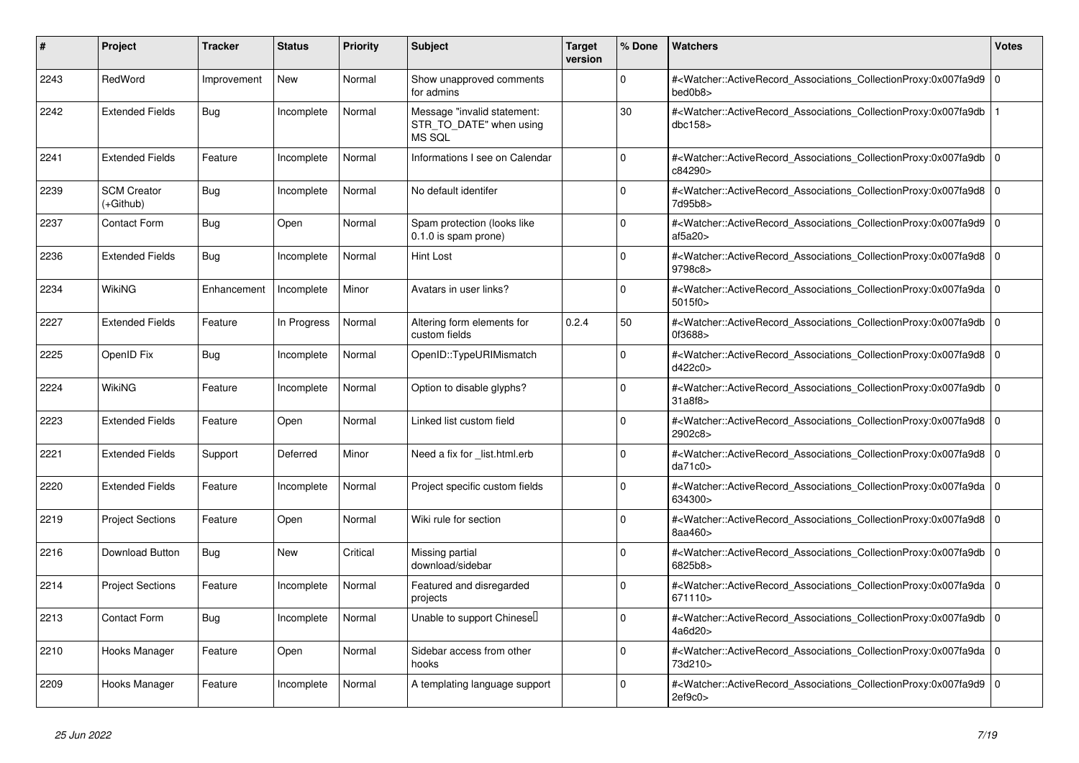| #    | Project                         | <b>Tracker</b> | <b>Status</b> | Priority | <b>Subject</b>                                                   | <b>Target</b><br>version | % Done       | <b>Watchers</b>                                                                                                                                           | Votes |
|------|---------------------------------|----------------|---------------|----------|------------------------------------------------------------------|--------------------------|--------------|-----------------------------------------------------------------------------------------------------------------------------------------------------------|-------|
| 2243 | RedWord                         | Improvement    | <b>New</b>    | Normal   | Show unapproved comments<br>for admins                           |                          | $\Omega$     | # <watcher::activerecord_associations_collectionproxy:0x007fa9d9<br>bed0b8&gt;</watcher::activerecord_associations_collectionproxy:0x007fa9d9<br>         | 0 I   |
| 2242 | <b>Extended Fields</b>          | Bug            | Incomplete    | Normal   | Message "invalid statement:<br>STR TO DATE" when using<br>MS SQL |                          | 30           | # <watcher::activerecord_associations_collectionproxy:0x007fa9db<br>dbc158</watcher::activerecord_associations_collectionproxy:0x007fa9db<br>             |       |
| 2241 | <b>Extended Fields</b>          | Feature        | Incomplete    | Normal   | Informations I see on Calendar                                   |                          | $\Omega$     | # <watcher::activerecord_associations_collectionproxy:0x007fa9db 0<br=""  ="">c84290&gt;</watcher::activerecord_associations_collectionproxy:0x007fa9db>  |       |
| 2239 | <b>SCM Creator</b><br>(+Github) | <b>Bug</b>     | Incomplete    | Normal   | No default identifer                                             |                          | $\Omega$     | # <watcher::activerecord associations="" collectionproxy:0x007fa9d8<br="">7d95b8&gt;</watcher::activerecord>                                              | l O   |
| 2237 | <b>Contact Form</b>             | Bug            | Open          | Normal   | Spam protection (looks like<br>0.1.0 is spam prone)              |                          | O            | # <watcher::activerecord_associations_collectionproxy:0x007fa9d9 0<br="">af5a20&gt;</watcher::activerecord_associations_collectionproxy:0x007fa9d9>       |       |
| 2236 | <b>Extended Fields</b>          | Bug            | Incomplete    | Normal   | Hint Lost                                                        |                          | $\Omega$     | # <watcher::activerecord 0<br="" associations="" collectionproxy:0x007fa9d8=""  ="">9798c8&gt;</watcher::activerecord>                                    |       |
| 2234 | WikiNG                          | Enhancement    | Incomplete    | Minor    | Avatars in user links?                                           |                          | $\Omega$     | # <watcher::activerecord_associations_collectionproxy:0x007fa9da 0<br=""  ="">5015f0 &gt;</watcher::activerecord_associations_collectionproxy:0x007fa9da> |       |
| 2227 | <b>Extended Fields</b>          | Feature        | In Progress   | Normal   | Altering form elements for<br>custom fields                      | 0.2.4                    | 50           | # <watcher::activerecord_associations_collectionproxy:0x007fa9db 0<br=""  ="">0f3688&gt;</watcher::activerecord_associations_collectionproxy:0x007fa9db>  |       |
| 2225 | OpenID Fix                      | Bug            | Incomplete    | Normal   | OpenID::TypeURIMismatch                                          |                          | $\Omega$     | # <watcher::activerecord_associations_collectionproxy:0x007fa9d8 0<br=""  ="">d422c0&gt;</watcher::activerecord_associations_collectionproxy:0x007fa9d8>  |       |
| 2224 | WikiNG                          | Feature        | Incomplete    | Normal   | Option to disable glyphs?                                        |                          | $\Omega$     | # <watcher::activerecord_associations_collectionproxy:0x007fa9db<br>31a8f8</watcher::activerecord_associations_collectionproxy:0x007fa9db<br>             | ۱o    |
| 2223 | <b>Extended Fields</b>          | Feature        | Open          | Normal   | Linked list custom field                                         |                          | <sup>0</sup> | # <watcher::activerecord 0<br="" associations="" collectionproxy:0x007fa9d8=""  ="">2902c8&gt;</watcher::activerecord>                                    |       |
| 2221 | <b>Extended Fields</b>          | Support        | Deferred      | Minor    | Need a fix for list.html.erb                                     |                          | $\Omega$     | # <watcher::activerecord 0<br="" associations="" collectionproxy:0x007fa9d8=""  ="">da71c0&gt;</watcher::activerecord>                                    |       |
| 2220 | <b>Extended Fields</b>          | Feature        | Incomplete    | Normal   | Project specific custom fields                                   |                          | 0            | # <watcher::activerecord_associations_collectionproxy:0x007fa9da 0<br=""  ="">634300&gt;</watcher::activerecord_associations_collectionproxy:0x007fa9da>  |       |
| 2219 | <b>Project Sections</b>         | Feature        | Open          | Normal   | Wiki rule for section                                            |                          | <sup>0</sup> | # <watcher::activerecord_associations_collectionproxy:0x007fa9d8 0<br=""  ="">8aa460&gt;</watcher::activerecord_associations_collectionproxy:0x007fa9d8>  |       |
| 2216 | <b>Download Button</b>          | <b>Bug</b>     | New           | Critical | Missing partial<br>download/sidebar                              |                          | $\Omega$     | # <watcher::activerecord_associations_collectionproxy:0x007fa9db<br>6825b8&gt;</watcher::activerecord_associations_collectionproxy:0x007fa9db<br>         | l O   |
| 2214 | <b>Project Sections</b>         | Feature        | Incomplete    | Normal   | Featured and disregarded<br>projects                             |                          | 0            | # <watcher::activerecord_associations_collectionproxy:0x007fa9da 0<br=""  ="">671110&gt;</watcher::activerecord_associations_collectionproxy:0x007fa9da>  |       |
| 2213 | <b>Contact Form</b>             | <b>Bug</b>     | Incomplete    | Normal   | Unable to support Chinesel                                       |                          | $\Omega$     | # <watcher::activerecord_associations_collectionproxy:0x007fa9db 0<br=""  ="">4a6d20&gt;</watcher::activerecord_associations_collectionproxy:0x007fa9db>  |       |
| 2210 | Hooks Manager                   | Feature        | Open          | Normal   | Sidebar access from other<br>hooks                               |                          | $\Omega$     | # <watcher::activerecord 0<br="" associations="" collectionproxy:0x007fa9da=""  ="">73d210&gt;</watcher::activerecord>                                    |       |
| 2209 | Hooks Manager                   | Feature        | Incomplete    | Normal   | A templating language support                                    |                          | <sup>0</sup> | # <watcher::activerecord_associations_collectionproxy:0x007fa9d9 0<br=""  ="">2ef9c0</watcher::activerecord_associations_collectionproxy:0x007fa9d9>      |       |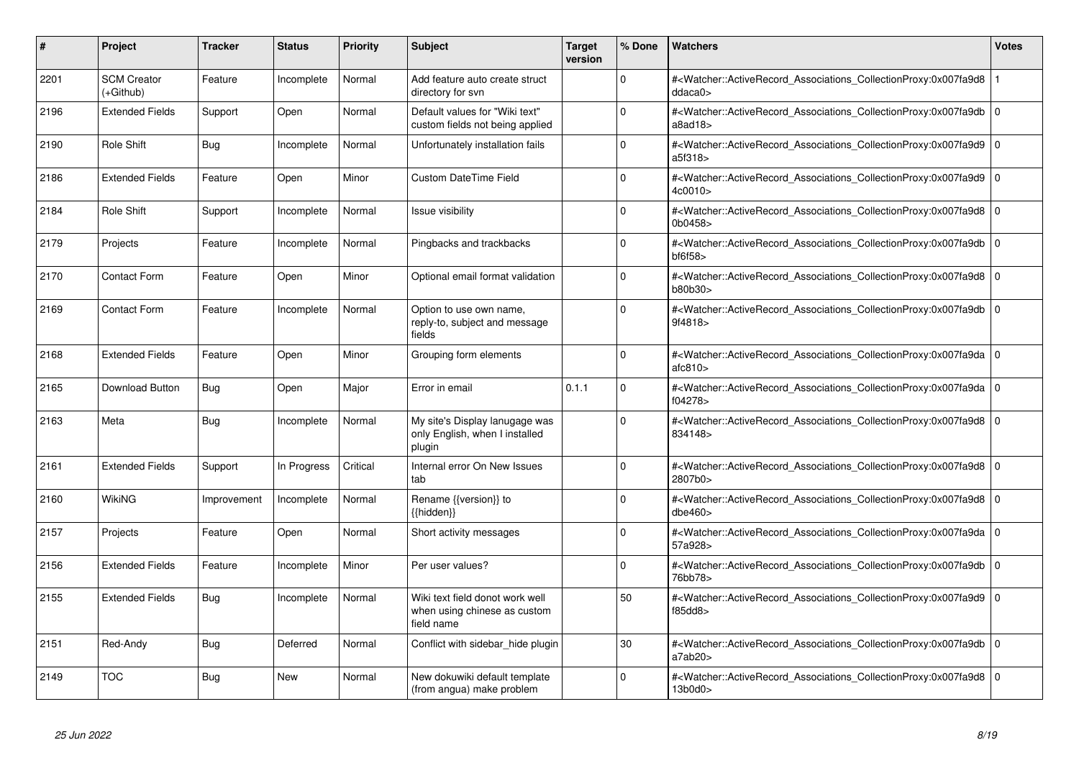| #    | Project                         | <b>Tracker</b> | <b>Status</b> | <b>Priority</b> | <b>Subject</b>                                                                | Target<br>version | % Done   | Watchers                                                                                                                                                                    | <b>Votes</b> |
|------|---------------------------------|----------------|---------------|-----------------|-------------------------------------------------------------------------------|-------------------|----------|-----------------------------------------------------------------------------------------------------------------------------------------------------------------------------|--------------|
| 2201 | <b>SCM Creator</b><br>(+Github) | Feature        | Incomplete    | Normal          | Add feature auto create struct<br>directory for svn                           |                   | $\Omega$ | # <watcher::activerecord associations="" collectionproxy:0x007fa9d8<br="">ddacab</watcher::activerecord>                                                                    |              |
| 2196 | <b>Extended Fields</b>          | Support        | Open          | Normal          | Default values for "Wiki text"<br>custom fields not being applied             |                   | $\Omega$ | # <watcher::activerecord 0<br="" associations="" collectionproxy:0x007fa9db=""  ="">a8ad18</watcher::activerecord>                                                          |              |
| 2190 | Role Shift                      | Bug            | Incomplete    | Normal          | Unfortunately installation fails                                              |                   | $\Omega$ | # <watcher::activerecord 0<br="" associations="" collectionproxy:0x007fa9d9=""  ="">a5f318&gt;</watcher::activerecord>                                                      |              |
| 2186 | <b>Extended Fields</b>          | Feature        | Open          | Minor           | <b>Custom DateTime Field</b>                                                  |                   | $\Omega$ | # <watcher::activerecord_associations_collectionproxy:0x007fa9d9 0<br="">4c0010&gt;</watcher::activerecord_associations_collectionproxy:0x007fa9d9>                         |              |
| 2184 | Role Shift                      | Support        | Incomplete    | Normal          | Issue visibility                                                              |                   | $\Omega$ | # <watcher::activerecord_associations_collectionproxy:0x007fa9d8 0<br=""  ="">0b0458&gt;</watcher::activerecord_associations_collectionproxy:0x007fa9d8>                    |              |
| 2179 | Projects                        | Feature        | Incomplete    | Normal          | Pingbacks and trackbacks                                                      |                   | $\Omega$ | # <watcher::activerecord_associations_collectionproxy:0x007fa9db<br><math>b</math>f6f58<math>&gt;</math></watcher::activerecord_associations_collectionproxy:0x007fa9db<br> | l O          |
| 2170 | <b>Contact Form</b>             | Feature        | Open          | Minor           | Optional email format validation                                              |                   | $\Omega$ | # <watcher::activerecord_associations_collectionproxy:0x007fa9d8 0<br=""  ="">b80b30&gt;</watcher::activerecord_associations_collectionproxy:0x007fa9d8>                    |              |
| 2169 | <b>Contact Form</b>             | Feature        | Incomplete    | Normal          | Option to use own name,<br>reply-to, subject and message<br>fields            |                   | $\Omega$ | # <watcher::activerecord associations="" collectionproxy:0x007fa9db<br="">9f4818&gt;</watcher::activerecord>                                                                | l o          |
| 2168 | <b>Extended Fields</b>          | Feature        | Open          | Minor           | Grouping form elements                                                        |                   | $\Omega$ | # <watcher::activerecord_associations_collectionproxy:0x007fa9da 0<br=""  ="">atc810</watcher::activerecord_associations_collectionproxy:0x007fa9da>                        |              |
| 2165 | Download Button                 | Bug            | Open          | Major           | Error in email                                                                | 0.1.1             | $\Omega$ | # <watcher::activerecord_associations_collectionproxy:0x007fa9da 0<br=""  ="">f04278&gt;</watcher::activerecord_associations_collectionproxy:0x007fa9da>                    |              |
| 2163 | Meta                            | Bug            | Incomplete    | Normal          | My site's Display lanugage was<br>only English, when I installed<br>plugin    |                   | $\Omega$ | # <watcher::activerecord_associations_collectionproxy:0x007fa9d8 0<br=""  ="">834148&gt;</watcher::activerecord_associations_collectionproxy:0x007fa9d8>                    |              |
| 2161 | <b>Extended Fields</b>          | Support        | In Progress   | Critical        | Internal error On New Issues<br>tab                                           |                   | $\Omega$ | # <watcher::activerecord 0<br="" associations="" collectionproxy:0x007fa9d8=""  ="">2807b0&gt;</watcher::activerecord>                                                      |              |
| 2160 | WikiNG                          | Improvement    | Incomplete    | Normal          | Rename {{version}} to<br>${$ hidden}                                          |                   | $\Omega$ | # <watcher::activerecord_associations_collectionproxy:0x007fa9d8 0<br=""  ="">dbe460</watcher::activerecord_associations_collectionproxy:0x007fa9d8>                        |              |
| 2157 | Projects                        | Feature        | Open          | Normal          | Short activity messages                                                       |                   | $\Omega$ | # <watcher::activerecord_associations_collectionproxy:0x007fa9da 0<br=""  ="">57a928&gt;</watcher::activerecord_associations_collectionproxy:0x007fa9da>                    |              |
| 2156 | <b>Extended Fields</b>          | Feature        | Incomplete    | Minor           | Per user values?                                                              |                   | $\Omega$ | # <watcher::activerecord 0<br="" associations="" collectionproxy:0x007fa9db=""  ="">76bb78&gt;</watcher::activerecord>                                                      |              |
| 2155 | <b>Extended Fields</b>          | Bug            | Incomplete    | Normal          | Wiki text field donot work well<br>when using chinese as custom<br>field name |                   | 50       | # <watcher::activerecord_associations_collectionproxy:0x007fa9d9<br>f85dd8</watcher::activerecord_associations_collectionproxy:0x007fa9d9<br>                               | l O          |
| 2151 | Red-Andy                        | <b>Bug</b>     | Deferred      | Normal          | Conflict with sidebar_hide plugin                                             |                   | 30       | # <watcher::activerecord_associations_collectionproxy:0x007fa9db 0<br=""  ="">a7ab20</watcher::activerecord_associations_collectionproxy:0x007fa9db>                        |              |
| 2149 | <b>TOC</b>                      | Bug            | <b>New</b>    | Normal          | New dokuwiki default template<br>(from angua) make problem                    |                   | $\Omega$ | # <watcher::activerecord_associations_collectionproxy:0x007fa9d8 0<br=""  ="">13b0d0&gt;</watcher::activerecord_associations_collectionproxy:0x007fa9d8>                    |              |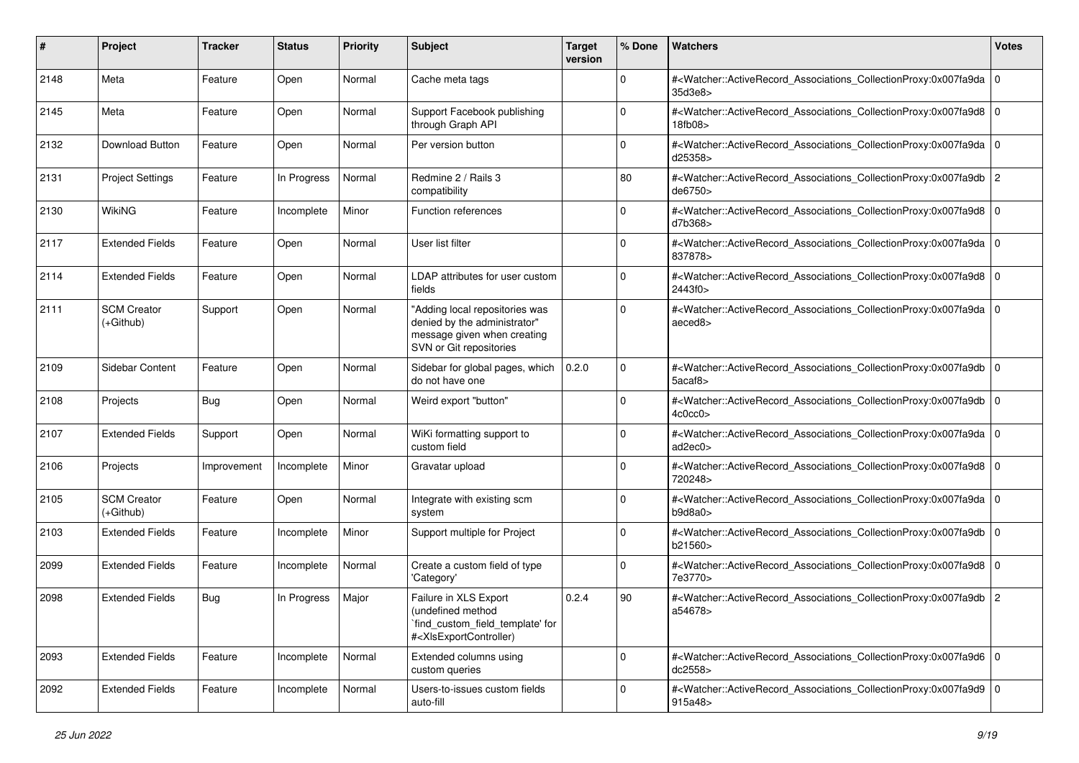| #    | Project                           | <b>Tracker</b> | <b>Status</b> | <b>Priority</b> | <b>Subject</b>                                                                                                                                                                                                                                                                                                                         | <b>Target</b><br>version | % Done      | Watchers                                                                                                                                                 | <b>Votes</b> |
|------|-----------------------------------|----------------|---------------|-----------------|----------------------------------------------------------------------------------------------------------------------------------------------------------------------------------------------------------------------------------------------------------------------------------------------------------------------------------------|--------------------------|-------------|----------------------------------------------------------------------------------------------------------------------------------------------------------|--------------|
| 2148 | Meta                              | Feature        | Open          | Normal          | Cache meta tags                                                                                                                                                                                                                                                                                                                        |                          | $\mathbf 0$ | # <watcher::activerecord_associations_collectionproxy:0x007fa9da 0<br=""  ="">35d3e8&gt;</watcher::activerecord_associations_collectionproxy:0x007fa9da> |              |
| 2145 | Meta                              | Feature        | Open          | Normal          | Support Facebook publishing<br>through Graph API                                                                                                                                                                                                                                                                                       |                          | $\Omega$    | # <watcher::activerecord_associations_collectionproxy:0x007fa9d8 0<br="">18fb08&gt;</watcher::activerecord_associations_collectionproxy:0x007fa9d8>      |              |
| 2132 | Download Button                   | Feature        | Open          | Normal          | Per version button                                                                                                                                                                                                                                                                                                                     |                          | $\Omega$    | # <watcher::activerecord_associations_collectionproxy:0x007fa9da 0<br=""  ="">d25358&gt;</watcher::activerecord_associations_collectionproxy:0x007fa9da> |              |
| 2131 | <b>Project Settings</b>           | Feature        | In Progress   | Normal          | Redmine 2 / Rails 3<br>compatibility                                                                                                                                                                                                                                                                                                   |                          | 80          | # <watcher::activerecord_associations_collectionproxy:0x007fa9db 2<br="">de6750&gt;</watcher::activerecord_associations_collectionproxy:0x007fa9db>      |              |
| 2130 | <b>WikiNG</b>                     | Feature        | Incomplete    | Minor           | Function references                                                                                                                                                                                                                                                                                                                    |                          | $\mathbf 0$ | # <watcher::activerecord_associations_collectionproxy:0x007fa9d8 0<br=""  ="">d7b368&gt;</watcher::activerecord_associations_collectionproxy:0x007fa9d8> |              |
| 2117 | <b>Extended Fields</b>            | Feature        | Open          | Normal          | User list filter                                                                                                                                                                                                                                                                                                                       |                          | 0           | # <watcher::activerecord_associations_collectionproxy:0x007fa9da 0<br=""  ="">837878&gt;</watcher::activerecord_associations_collectionproxy:0x007fa9da> |              |
| 2114 | <b>Extended Fields</b>            | Feature        | Open          | Normal          | LDAP attributes for user custom<br>fields                                                                                                                                                                                                                                                                                              |                          | $\Omega$    | # <watcher::activerecord_associations_collectionproxy:0x007fa9d8 0<br=""  ="">2443f0&gt;</watcher::activerecord_associations_collectionproxy:0x007fa9d8> |              |
| 2111 | <b>SCM Creator</b><br>$(+Github)$ | Support        | Open          | Normal          | "Adding local repositories was<br>denied by the administrator"<br>message given when creating<br>SVN or Git repositories                                                                                                                                                                                                               |                          | $\mathbf 0$ | # <watcher::activerecord 0<br="" associations="" collectionproxy:0x007fa9da="">aeced8&gt;</watcher::activerecord>                                        |              |
| 2109 | Sidebar Content                   | Feature        | Open          | Normal          | Sidebar for global pages, which<br>do not have one                                                                                                                                                                                                                                                                                     | 0.2.0                    | $\Omega$    | # <watcher::activerecord_associations_collectionproxy:0x007fa9db 0<br=""  ="">5acaf8&gt;</watcher::activerecord_associations_collectionproxy:0x007fa9db> |              |
| 2108 | Projects                          | <b>Bug</b>     | Open          | Normal          | Weird export "button"                                                                                                                                                                                                                                                                                                                  |                          | 0           | # <watcher::activerecord_associations_collectionproxy:0x007fa9db 0<br="">4c0cc0&gt;</watcher::activerecord_associations_collectionproxy:0x007fa9db>      |              |
| 2107 | <b>Extended Fields</b>            | Support        | Open          | Normal          | WiKi formatting support to<br>custom field                                                                                                                                                                                                                                                                                             |                          | $\mathbf 0$ | # <watcher::activerecord_associations_collectionproxy:0x007fa9da 0<br="">ad2ec0</watcher::activerecord_associations_collectionproxy:0x007fa9da>          |              |
| 2106 | Projects                          | Improvement    | Incomplete    | Minor           | Gravatar upload                                                                                                                                                                                                                                                                                                                        |                          | 0           | # <watcher::activerecord_associations_collectionproxy:0x007fa9d8 0<br=""  ="">720248&gt;</watcher::activerecord_associations_collectionproxy:0x007fa9d8> |              |
| 2105 | <b>SCM Creator</b><br>$(+Github)$ | Feature        | Open          | Normal          | Integrate with existing scm<br>system                                                                                                                                                                                                                                                                                                  |                          | $\Omega$    | # <watcher::activerecord_associations_collectionproxy:0x007fa9da 0<br=""  ="">b9d8a0&gt;</watcher::activerecord_associations_collectionproxy:0x007fa9da> |              |
| 2103 | <b>Extended Fields</b>            | Feature        | Incomplete    | Minor           | Support multiple for Project                                                                                                                                                                                                                                                                                                           |                          | $\mathbf 0$ | # <watcher::activerecord_associations_collectionproxy:0x007fa9db 0<br="">b21560&gt;</watcher::activerecord_associations_collectionproxy:0x007fa9db>      |              |
| 2099 | <b>Extended Fields</b>            | Feature        | Incomplete    | Normal          | Create a custom field of type<br>'Category'                                                                                                                                                                                                                                                                                            |                          | $\mathbf 0$ | # <watcher::activerecord_associations_collectionproxy:0x007fa9d8 0<br=""  ="">7e3770&gt;</watcher::activerecord_associations_collectionproxy:0x007fa9d8> |              |
| 2098 | <b>Extended Fields</b>            | Bug            | In Progress   | Major           | Failure in XLS Export<br>(undefined method<br>`find_custom_field_template' for<br># <xlsexportcontroller)< td=""><td>0.2.4</td><td>90</td><td>#<watcher::activerecord_associations_collectionproxy:0x007fa9db 2<br="">a54678&gt;</watcher::activerecord_associations_collectionproxy:0x007fa9db></td><td></td></xlsexportcontroller)<> | 0.2.4                    | 90          | # <watcher::activerecord_associations_collectionproxy:0x007fa9db 2<br="">a54678&gt;</watcher::activerecord_associations_collectionproxy:0x007fa9db>      |              |
| 2093 | <b>Extended Fields</b>            | Feature        | Incomplete    | Normal          | Extended columns using<br>custom queries                                                                                                                                                                                                                                                                                               |                          | $\mathbf 0$ | # <watcher::activerecord_associations_collectionproxy:0x007fa9d6 0<br="">dc2558&gt;</watcher::activerecord_associations_collectionproxy:0x007fa9d6>      |              |
| 2092 | <b>Extended Fields</b>            | Feature        | Incomplete    | Normal          | Users-to-issues custom fields<br>auto-fill                                                                                                                                                                                                                                                                                             |                          | $\Omega$    | # <watcher::activerecord_associations_collectionproxy:0x007fa9d9 0<br="">915a48&gt;</watcher::activerecord_associations_collectionproxy:0x007fa9d9>      |              |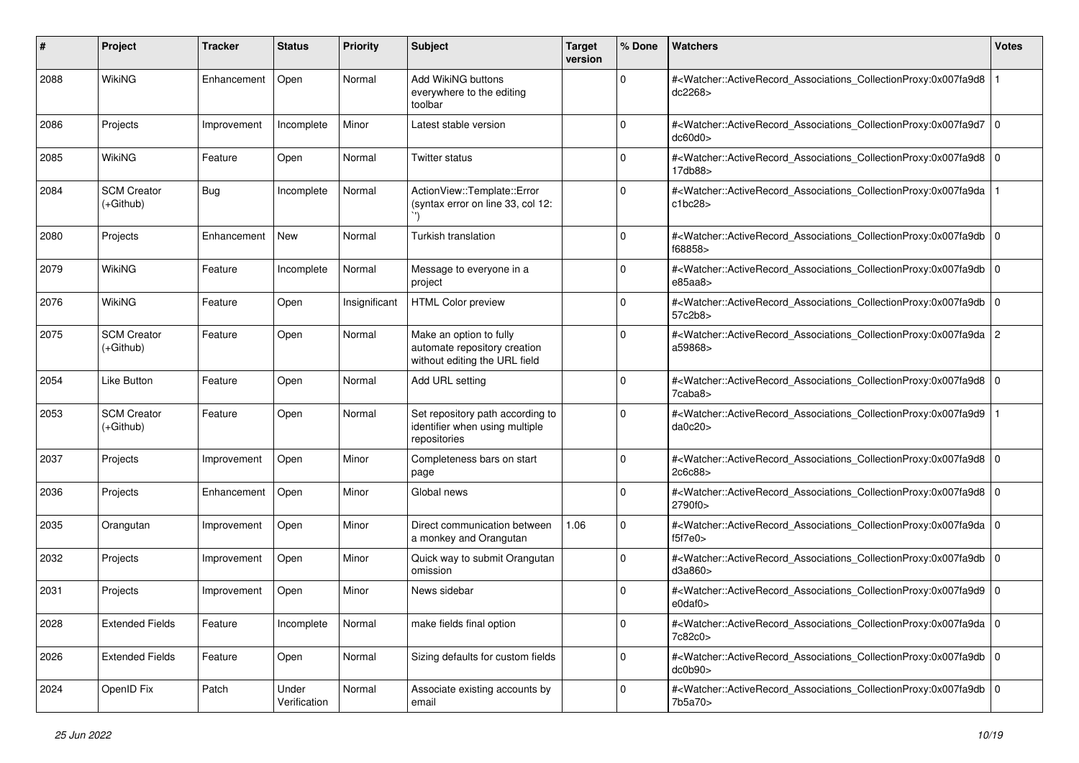| #    | Project                           | <b>Tracker</b> | <b>Status</b>         | <b>Priority</b> | <b>Subject</b>                                                                           | <b>Target</b><br>version | % Done      | Watchers                                                                                                                                                                       | <b>Votes</b> |
|------|-----------------------------------|----------------|-----------------------|-----------------|------------------------------------------------------------------------------------------|--------------------------|-------------|--------------------------------------------------------------------------------------------------------------------------------------------------------------------------------|--------------|
| 2088 | WikiNG                            | Enhancement    | Open                  | Normal          | Add WikiNG buttons<br>everywhere to the editing<br>toolbar                               |                          | 0           | # <watcher::activerecord_associations_collectionproxy:0x007fa9d8<br>dc2268&gt;</watcher::activerecord_associations_collectionproxy:0x007fa9d8<br>                              |              |
| 2086 | Projects                          | Improvement    | Incomplete            | Minor           | Latest stable version                                                                    |                          | 0           | # <watcher::activerecord_associations_collectionproxy:0x007fa9d7 0<br=""  ="">dc60d0&gt;</watcher::activerecord_associations_collectionproxy:0x007fa9d7>                       |              |
| 2085 | WikiNG                            | Feature        | Open                  | Normal          | <b>Twitter status</b>                                                                    |                          | $\Omega$    | # <watcher::activerecord_associations_collectionproxy:0x007fa9d8 0<br=""  ="">17db88&gt;</watcher::activerecord_associations_collectionproxy:0x007fa9d8>                       |              |
| 2084 | <b>SCM Creator</b><br>$(+Github)$ | Bug            | Incomplete            | Normal          | ActionView::Template::Error<br>(syntax error on line 33, col 12:                         |                          | 0           | # <watcher::activerecord_associations_collectionproxy:0x007fa9da<br>c1bc28&gt;</watcher::activerecord_associations_collectionproxy:0x007fa9da<br>                              |              |
| 2080 | Projects                          | Enhancement    | <b>New</b>            | Normal          | Turkish translation                                                                      |                          | 0           | # <watcher::activerecord_associations_collectionproxy:0x007fa9db 0<br=""  ="">f68858&gt;</watcher::activerecord_associations_collectionproxy:0x007fa9db>                       |              |
| 2079 | WikiNG                            | Feature        | Incomplete            | Normal          | Message to everyone in a<br>project                                                      |                          | $\Omega$    | # <watcher::activerecord_associations_collectionproxy:0x007fa9db 0<br=""  ="">e85aa8&gt;</watcher::activerecord_associations_collectionproxy:0x007fa9db>                       |              |
| 2076 | WikiNG                            | Feature        | Open                  | Insignificant   | <b>HTML Color preview</b>                                                                |                          | 0           | # <watcher::activerecord_associations_collectionproxy:0x007fa9db 0<br="">57c2b8&gt;</watcher::activerecord_associations_collectionproxy:0x007fa9db>                            |              |
| 2075 | <b>SCM Creator</b><br>(+Github)   | Feature        | Open                  | Normal          | Make an option to fully<br>automate repository creation<br>without editing the URL field |                          | $\Omega$    | # <watcher::activerecord_associations_collectionproxy:0x007fa9da 2<br="">a59868&gt;</watcher::activerecord_associations_collectionproxy:0x007fa9da>                            |              |
| 2054 | Like Button                       | Feature        | Open                  | Normal          | Add URL setting                                                                          |                          | $\Omega$    | # <watcher::activerecord_associations_collectionproxy:0x007fa9d8 0<br=""  =""><math>7</math>caba<math>8</math></watcher::activerecord_associations_collectionproxy:0x007fa9d8> |              |
| 2053 | <b>SCM Creator</b><br>(+Github)   | Feature        | Open                  | Normal          | Set repository path according to<br>identifier when using multiple<br>repositories       |                          | 0           | # <watcher::activerecord_associations_collectionproxy:0x007fa9d9<br>da0c20&gt;</watcher::activerecord_associations_collectionproxy:0x007fa9d9<br>                              |              |
| 2037 | Projects                          | Improvement    | Open                  | Minor           | Completeness bars on start<br>page                                                       |                          | 0           | # <watcher::activerecord_associations_collectionproxy:0x007fa9d8 0<br=""  ="">2c6c88&gt;</watcher::activerecord_associations_collectionproxy:0x007fa9d8>                       |              |
| 2036 | Projects                          | Enhancement    | Open                  | Minor           | Global news                                                                              |                          | $\mathbf 0$ | # <watcher::activerecord_associations_collectionproxy:0x007fa9d8 0<br=""  ="">2790f0&gt;</watcher::activerecord_associations_collectionproxy:0x007fa9d8>                       |              |
| 2035 | Orangutan                         | Improvement    | Open                  | Minor           | Direct communication between<br>a monkey and Orangutan                                   | 1.06                     | 0           | # <watcher::activerecord_associations_collectionproxy:0x007fa9da 0<br=""  ="">f5f7e0</watcher::activerecord_associations_collectionproxy:0x007fa9da>                           |              |
| 2032 | Projects                          | Improvement    | Open                  | Minor           | Quick way to submit Orangutan<br>omission                                                |                          | $\Omega$    | # <watcher::activerecord_associations_collectionproxy:0x007fa9db 0<br="">d3a860&gt;</watcher::activerecord_associations_collectionproxy:0x007fa9db>                            |              |
| 2031 | Projects                          | Improvement    | Open                  | Minor           | News sidebar                                                                             |                          | $\Omega$    | # <watcher::activerecord_associations_collectionproxy:0x007fa9d9 0<br=""  =""><math>e0</math>daf<math>0</math></watcher::activerecord_associations_collectionproxy:0x007fa9d9> |              |
| 2028 | <b>Extended Fields</b>            | Feature        | Incomplete            | Normal          | make fields final option                                                                 |                          | $\mathbf 0$ | # <watcher::activerecord 0<br="" associations="" collectionproxy:0x007fa9da="">7c82c0&gt;</watcher::activerecord>                                                              |              |
| 2026 | <b>Extended Fields</b>            | Feature        | Open                  | Normal          | Sizing defaults for custom fields                                                        |                          | $\mathbf 0$ | # <watcher::activerecord 0<br="" associations="" collectionproxy:0x007fa9db="">dc0b90&gt;</watcher::activerecord>                                                              |              |
| 2024 | OpenID Fix                        | Patch          | Under<br>Verification | Normal          | Associate existing accounts by<br>email                                                  |                          | 0           | # <watcher::activerecord_associations_collectionproxy:0x007fa9db 0<br="">7b5a70&gt;</watcher::activerecord_associations_collectionproxy:0x007fa9db>                            |              |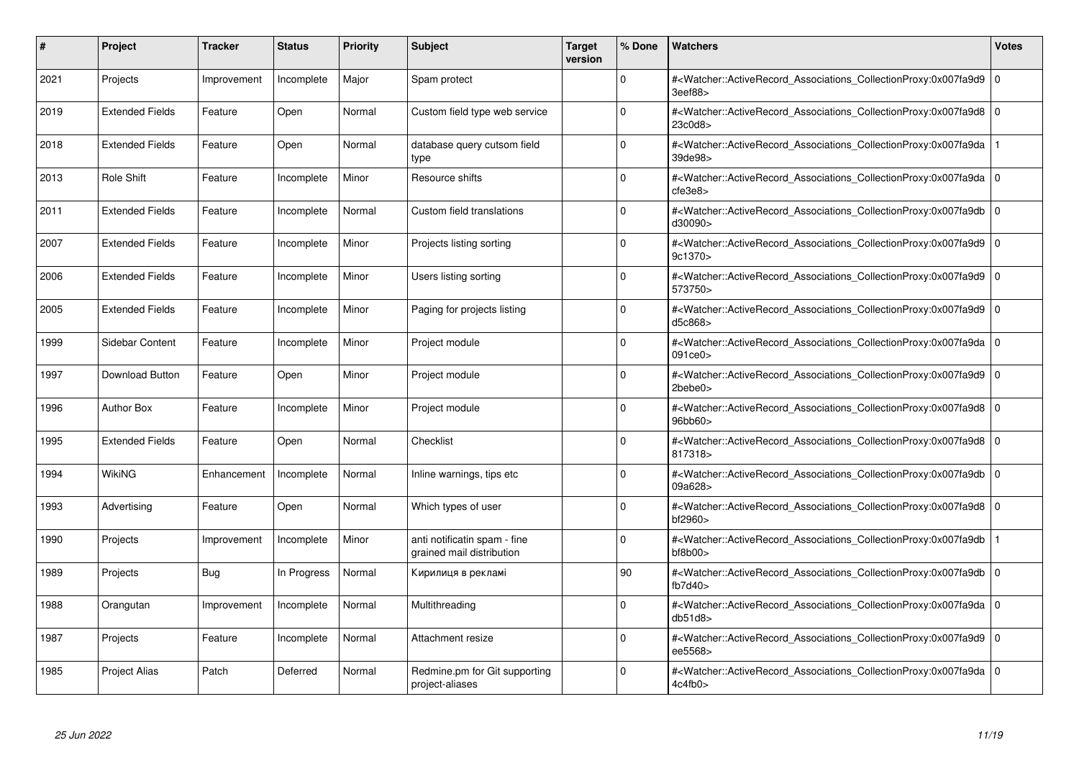| #    | Project                | <b>Tracker</b> | <b>Status</b> | <b>Priority</b> | <b>Subject</b>                                            | <b>Target</b><br>version | % Done      | <b>Watchers</b>                                                                                                                                                                          | <b>Votes</b> |
|------|------------------------|----------------|---------------|-----------------|-----------------------------------------------------------|--------------------------|-------------|------------------------------------------------------------------------------------------------------------------------------------------------------------------------------------------|--------------|
| 2021 | Projects               | Improvement    | Incomplete    | Major           | Spam protect                                              |                          | $\Omega$    | # <watcher::activerecord 0<br="" associations="" collectionproxy:0x007fa9d9=""  ="">3eef88&gt;</watcher::activerecord>                                                                   |              |
| 2019 | <b>Extended Fields</b> | Feature        | Open          | Normal          | Custom field type web service                             |                          | 0           | # <watcher::activerecord_associations_collectionproxy:0x007fa9d8 0<br=""  ="">23c0d8&gt;</watcher::activerecord_associations_collectionproxy:0x007fa9d8>                                 |              |
| 2018 | <b>Extended Fields</b> | Feature        | Open          | Normal          | database query cutsom field<br>type                       |                          | $\Omega$    | # <watcher::activerecord associations="" collectionproxy:0x007fa9da<br="">39de98&gt;</watcher::activerecord>                                                                             |              |
| 2013 | Role Shift             | Feature        | Incomplete    | Minor           | Resource shifts                                           |                          | O           | # <watcher::activerecord 0<br="" associations="" collectionproxy:0x007fa9da=""  ="">cfe3e8</watcher::activerecord>                                                                       |              |
| 2011 | <b>Extended Fields</b> | Feature        | Incomplete    | Normal          | Custom field translations                                 |                          | $\Omega$    | # <watcher::activerecord_associations_collectionproxy:0x007fa9db 0<br="">d30090&gt;</watcher::activerecord_associations_collectionproxy:0x007fa9db>                                      |              |
| 2007 | <b>Extended Fields</b> | Feature        | Incomplete    | Minor           | Projects listing sorting                                  |                          | $\Omega$    | # <watcher::activerecord 0<br="" associations="" collectionproxy:0x007fa9d9=""  ="">9c1370&gt;</watcher::activerecord>                                                                   |              |
| 2006 | <b>Extended Fields</b> | Feature        | Incomplete    | Minor           | Users listing sorting                                     |                          | $\Omega$    | # <watcher::activerecord_associations_collectionproxy:0x007fa9d9 0<br=""  ="">573750&gt;</watcher::activerecord_associations_collectionproxy:0x007fa9d9>                                 |              |
| 2005 | <b>Extended Fields</b> | Feature        | Incomplete    | Minor           | Paging for projects listing                               |                          | $\Omega$    | # <watcher::activerecord 0<br="" associations="" collectionproxy:0x007fa9d9=""  ="">d5c868&gt;</watcher::activerecord>                                                                   |              |
| 1999 | Sidebar Content        | Feature        | Incomplete    | Minor           | Project module                                            |                          | $\Omega$    | # <watcher::activerecord_associations_collectionproxy:0x007fa9da 0<br=""  ="">091ce0&gt;</watcher::activerecord_associations_collectionproxy:0x007fa9da>                                 |              |
| 1997 | <b>Download Button</b> | Feature        | Open          | Minor           | Project module                                            |                          | $\Omega$    | # <watcher::activerecord_associations_collectionproxy:0x007fa9d9 0<br=""  ="">2bebe0&gt;</watcher::activerecord_associations_collectionproxy:0x007fa9d9>                                 |              |
| 1996 | <b>Author Box</b>      | Feature        | Incomplete    | Minor           | Project module                                            |                          | $\Omega$    | # <watcher::activerecord 0<br="" associations="" collectionproxy:0x007fa9d8=""  ="">96bb60&gt;</watcher::activerecord>                                                                   |              |
| 1995 | <b>Extended Fields</b> | Feature        | Open          | Normal          | Checklist                                                 |                          | $\Omega$    | # <watcher::activerecord_associations_collectionproxy:0x007fa9d8 0<br=""  ="">817318&gt;</watcher::activerecord_associations_collectionproxy:0x007fa9d8>                                 |              |
| 1994 | WikiNG                 | Enhancement    | Incomplete    | Normal          | Inline warnings, tips etc                                 |                          | $\Omega$    | # <watcher::activerecord 0<br="" associations="" collectionproxy:0x007fa9db=""  ="">09a628&gt;</watcher::activerecord>                                                                   |              |
| 1993 | Advertising            | Feature        | Open          | Normal          | Which types of user                                       |                          | 0           | # <watcher::activerecord_associations_collectionproxy:0x007fa9d8 0<br=""  ="">bf2960&gt;</watcher::activerecord_associations_collectionproxy:0x007fa9d8>                                 |              |
| 1990 | Projects               | Improvement    | Incomplete    | Minor           | anti notificatin spam - fine<br>grained mail distribution |                          | 0           | # <watcher::activerecord_associations_collectionproxy:0x007fa9db<br><math>b</math>f8<math>b</math>00<math>&gt;</math></watcher::activerecord_associations_collectionproxy:0x007fa9db<br> |              |
| 1989 | Projects               | Bug            | In Progress   | Normal          | Кирилиця в рекламі                                        |                          | 90          | # <watcher::activerecord 0<br="" associations="" collectionproxy:0x007fa9db=""  ="">fb7d40</watcher::activerecord>                                                                       |              |
| 1988 | Orangutan              | Improvement    | Incomplete    | Normal          | Multithreading                                            |                          | $\Omega$    | # <watcher::activerecord_associations_collectionproxy:0x007fa9da 0<br=""  ="">db51d8&gt;</watcher::activerecord_associations_collectionproxy:0x007fa9da>                                 |              |
| 1987 | Projects               | Feature        | Incomplete    | Normal          | Attachment resize                                         |                          | $\mathbf 0$ | # <watcher::activerecord 0<br="" associations="" collectionproxy:0x007fa9d9=""  ="">ee5568&gt;</watcher::activerecord>                                                                   |              |
| 1985 | <b>Project Alias</b>   | Patch          | Deferred      | Normal          | Redmine.pm for Git supporting<br>project-aliases          |                          | $\Omega$    | # <watcher::activerecord_associations_collectionproxy:0x007fa9da 0<br=""  ="">4c4fb0&gt;</watcher::activerecord_associations_collectionproxy:0x007fa9da>                                 |              |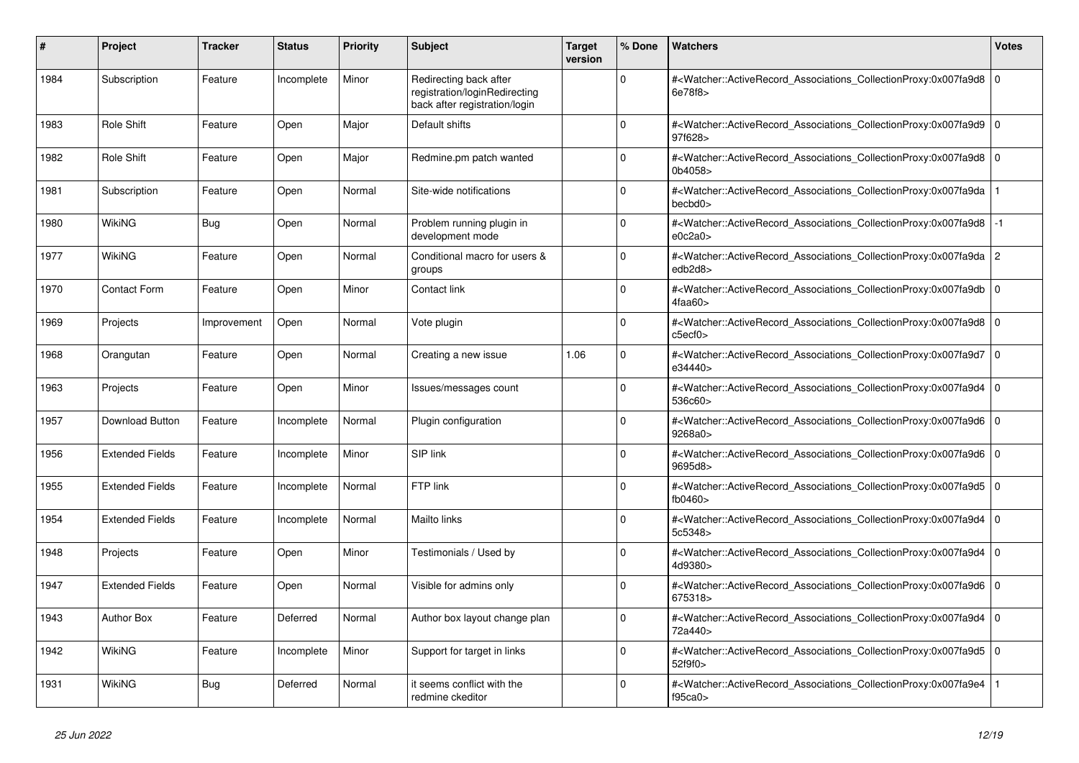| #    | Project                | <b>Tracker</b> | <b>Status</b> | Priority | <b>Subject</b>                                                                           | <b>Target</b><br>version | % Done         | <b>Watchers</b>                                                                                                                                          | Votes |
|------|------------------------|----------------|---------------|----------|------------------------------------------------------------------------------------------|--------------------------|----------------|----------------------------------------------------------------------------------------------------------------------------------------------------------|-------|
| 1984 | Subscription           | Feature        | Incomplete    | Minor    | Redirecting back after<br>registration/loginRedirecting<br>back after registration/login |                          | $\Omega$       | # <watcher::activerecord_associations_collectionproxy:0x007fa9d8<br>6e78f8&gt;</watcher::activerecord_associations_collectionproxy:0x007fa9d8<br>        | l o   |
| 1983 | <b>Role Shift</b>      | Feature        | Open          | Major    | Default shifts                                                                           |                          | O              | # <watcher::activerecord_associations_collectionproxy:0x007fa9d9 0<br=""  ="">97f628&gt;</watcher::activerecord_associations_collectionproxy:0x007fa9d9> |       |
| 1982 | <b>Role Shift</b>      | Feature        | Open          | Major    | Redmine.pm patch wanted                                                                  |                          | $\Omega$       | # <watcher::activerecord_associations_collectionproxy:0x007fa9d8 0<br=""  ="">0b4058&gt;</watcher::activerecord_associations_collectionproxy:0x007fa9d8> |       |
| 1981 | Subscription           | Feature        | Open          | Normal   | Site-wide notifications                                                                  |                          | $\Omega$       | # <watcher::activerecord_associations_collectionproxy:0x007fa9da<br>becbd0&gt;</watcher::activerecord_associations_collectionproxy:0x007fa9da<br>        |       |
| 1980 | WikiNG                 | Bug            | Open          | Normal   | Problem running plugin in<br>development mode                                            |                          | O              | # <watcher::activerecord associations="" collectionproxy:0x007fa9d8<br="">e0c2a0</watcher::activerecord>                                                 | $-1$  |
| 1977 | WikiNG                 | Feature        | Open          | Normal   | Conditional macro for users &<br>groups                                                  |                          | $\Omega$       | # <watcher::activerecord_associations_collectionproxy:0x007fa9da 2<br="">edb2d8&gt;</watcher::activerecord_associations_collectionproxy:0x007fa9da>      |       |
| 1970 | <b>Contact Form</b>    | Feature        | Open          | Minor    | Contact link                                                                             |                          | $\Omega$       | # <watcher::activerecord_associations_collectionproxy:0x007fa9db<br>4faa60&gt;</watcher::activerecord_associations_collectionproxy:0x007fa9db<br>        | 0 I   |
| 1969 | Projects               | Improvement    | Open          | Normal   | Vote plugin                                                                              |                          | $\overline{0}$ | # <watcher::activerecord 0<br="" associations="" collectionproxy:0x007fa9d8=""  ="">c5ect0</watcher::activerecord>                                       |       |
| 1968 | Orangutan              | Feature        | Open          | Normal   | Creating a new issue                                                                     | 1.06                     | $\Omega$       | # <watcher::activerecord_associations_collectionproxy:0x007fa9d7<br>e34440&gt;</watcher::activerecord_associations_collectionproxy:0x007fa9d7<br>        | l 0   |
| 1963 | Projects               | Feature        | Open          | Minor    | Issues/messages count                                                                    |                          | $\Omega$       | # <watcher::activerecord_associations_collectionproxy:0x007fa9d4<br>536c60&gt;</watcher::activerecord_associations_collectionproxy:0x007fa9d4<br>        | 0 I   |
| 1957 | <b>Download Button</b> | Feature        | Incomplete    | Normal   | Plugin configuration                                                                     |                          | <sup>0</sup>   | # <watcher::activerecord_associations_collectionproxy:0x007fa9d6 0<br="">9268a0&gt;</watcher::activerecord_associations_collectionproxy:0x007fa9d6>      |       |
| 1956 | <b>Extended Fields</b> | Feature        | Incomplete    | Minor    | SIP link                                                                                 |                          | $\Omega$       | # <watcher::activerecord associations="" collectionproxy:0x007fa9d6<br="">9695d8&gt;</watcher::activerecord>                                             | ۱٥    |
| 1955 | <b>Extended Fields</b> | Feature        | Incomplete    | Normal   | FTP link                                                                                 |                          | O              | # <watcher::activerecord_associations_collectionproxy:0x007fa9d5<br>fb0460&gt;</watcher::activerecord_associations_collectionproxy:0x007fa9d5<br>        | 0 I   |
| 1954 | <b>Extended Fields</b> | Feature        | Incomplete    | Normal   | <b>Mailto links</b>                                                                      |                          | $\Omega$       | # <watcher::activerecord 0<br="" associations="" collectionproxy:0x007fa9d4=""  ="">5c5348&gt;</watcher::activerecord>                                   |       |
| 1948 | Projects               | Feature        | Open          | Minor    | Testimonials / Used by                                                                   |                          | 0              | # <watcher::activerecord_associations_collectionproxy:0x007fa9d4 0<br=""  ="">4d9380&gt;</watcher::activerecord_associations_collectionproxy:0x007fa9d4> |       |
| 1947 | <b>Extended Fields</b> | Feature        | Open          | Normal   | Visible for admins only                                                                  |                          | $\Omega$       | # <watcher::activerecord_associations_collectionproxy:0x007fa9d6<br>675318&gt;</watcher::activerecord_associations_collectionproxy:0x007fa9d6<br>        | l O   |
| 1943 | <b>Author Box</b>      | Feature        | Deferred      | Normal   | Author box layout change plan                                                            |                          | 0              | # <watcher::activerecord 0<br="" associations="" collectionproxy:0x007fa9d4=""  ="">72a440&gt;</watcher::activerecord>                                   |       |
| 1942 | WikiNG                 | Feature        | Incomplete    | Minor    | Support for target in links                                                              |                          | $\Omega$       | # <watcher::activerecord_associations_collectionproxy:0x007fa9d5<br>52f9f0&gt;</watcher::activerecord_associations_collectionproxy:0x007fa9d5<br>        | l O   |
| 1931 | WikiNG                 | Bug            | Deferred      | Normal   | it seems conflict with the<br>redmine ckeditor                                           |                          | O              | # <watcher::activerecord_associations_collectionproxy:0x007fa9e4<br>f95ca0&gt;</watcher::activerecord_associations_collectionproxy:0x007fa9e4<br>        |       |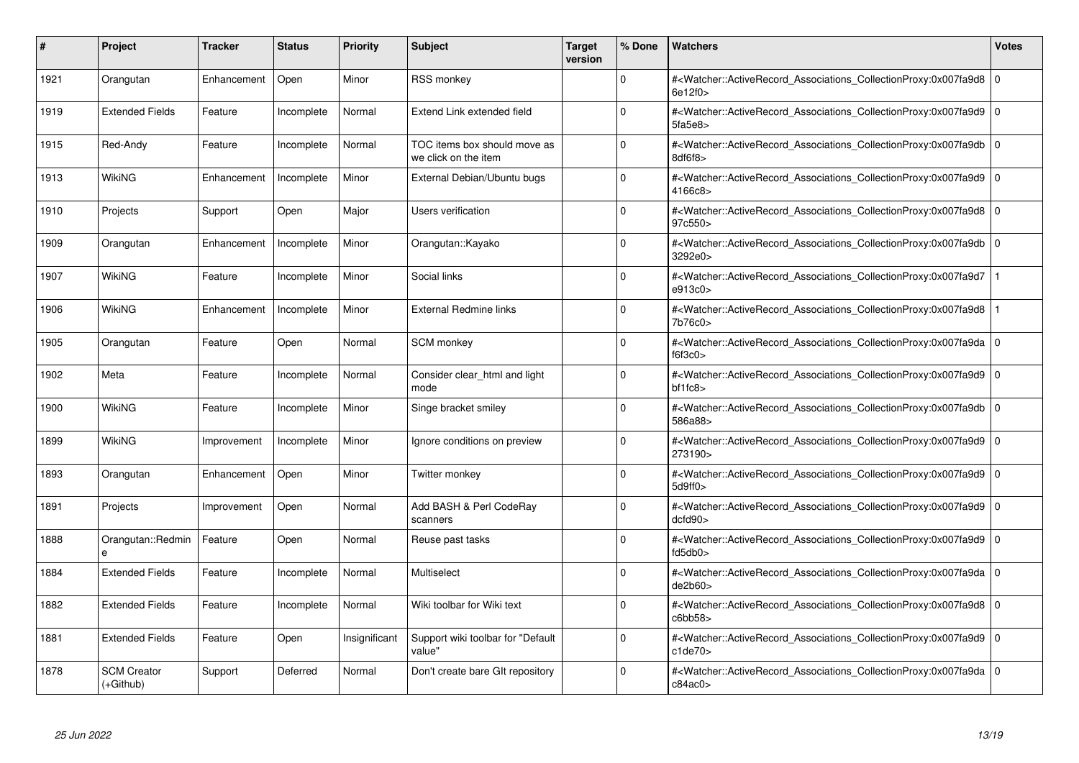| #    | Project                           | <b>Tracker</b> | <b>Status</b> | <b>Priority</b> | <b>Subject</b>                                       | <b>Target</b><br>version | % Done      | <b>Watchers</b>                                                                                                                                                                    | <b>Votes</b> |
|------|-----------------------------------|----------------|---------------|-----------------|------------------------------------------------------|--------------------------|-------------|------------------------------------------------------------------------------------------------------------------------------------------------------------------------------------|--------------|
| 1921 | Orangutan                         | Enhancement    | Open          | Minor           | <b>RSS monkey</b>                                    |                          | $\Omega$    | # <watcher::activerecord 0<br="" associations="" collectionproxy:0x007fa9d8=""  ="">6e12f0&gt;</watcher::activerecord>                                                             |              |
| 1919 | <b>Extended Fields</b>            | Feature        | Incomplete    | Normal          | Extend Link extended field                           |                          | 0           | # <watcher::activerecord_associations_collectionproxy:0x007fa9d9 0<br=""  ="">5fa5e8</watcher::activerecord_associations_collectionproxy:0x007fa9d9>                               |              |
| 1915 | Red-Andy                          | Feature        | Incomplete    | Normal          | TOC items box should move as<br>we click on the item |                          | $\Omega$    | # <watcher::activerecord_associations_collectionproxy:0x007fa9db 0<br="">8df6f8</watcher::activerecord_associations_collectionproxy:0x007fa9db>                                    |              |
| 1913 | WikiNG                            | Enhancement    | Incomplete    | Minor           | External Debian/Ubuntu bugs                          |                          | $\Omega$    | # <watcher::activerecord 0<br="" associations="" collectionproxy:0x007fa9d9=""  ="">4166c8&gt;</watcher::activerecord>                                                             |              |
| 1910 | Projects                          | Support        | Open          | Major           | Users verification                                   |                          | $\Omega$    | # <watcher::activerecord_associations_collectionproxy:0x007fa9d8 0<br=""  ="">97c550&gt;</watcher::activerecord_associations_collectionproxy:0x007fa9d8>                           |              |
| 1909 | Orangutan                         | Enhancement    | Incomplete    | Minor           | Orangutan::Kayako                                    |                          | $\Omega$    | # <watcher::activerecord 0<br="" associations="" collectionproxy:0x007fa9db=""  ="">3292e0&gt;</watcher::activerecord>                                                             |              |
| 1907 | <b>WikiNG</b>                     | Feature        | Incomplete    | Minor           | Social links                                         |                          | $\Omega$    | # <watcher::activerecord_associations_collectionproxy:0x007fa9d7<br>e913c0&gt;</watcher::activerecord_associations_collectionproxy:0x007fa9d7<br>                                  |              |
| 1906 | WikiNG                            | Enhancement    | Incomplete    | Minor           | External Redmine links                               |                          | O           | # <watcher::activerecord associations="" collectionproxy:0x007fa9d8<br="">7b76c0&gt;</watcher::activerecord>                                                                       |              |
| 1905 | Orangutan                         | Feature        | Open          | Normal          | SCM monkey                                           |                          | $\Omega$    | # <watcher::activerecord_associations_collectionproxy:0x007fa9da 0<br=""  ="">f6f3c0</watcher::activerecord_associations_collectionproxy:0x007fa9da>                               |              |
| 1902 | Meta                              | Feature        | Incomplete    | Normal          | Consider clear html and light<br>mode                |                          | $\Omega$    | # <watcher::activerecord_associations_collectionproxy:0x007fa9d9 0<br=""  =""><math>b</math>f1fc8<math>&gt;</math></watcher::activerecord_associations_collectionproxy:0x007fa9d9> |              |
| 1900 | WikiNG                            | Feature        | Incomplete    | Minor           | Singe bracket smiley                                 |                          | $\Omega$    | # <watcher::activerecord 0<br="" associations="" collectionproxy:0x007fa9db=""  ="">586a88&gt;</watcher::activerecord>                                                             |              |
| 1899 | WikiNG                            | Improvement    | Incomplete    | Minor           | Ignore conditions on preview                         |                          | $\Omega$    | # <watcher::activerecord_associations_collectionproxy:0x007fa9d9 0<br=""  ="">273190&gt;</watcher::activerecord_associations_collectionproxy:0x007fa9d9>                           |              |
| 1893 | Orangutan                         | Enhancement    | Open          | Minor           | Twitter monkey                                       |                          | $\Omega$    | # <watcher::activerecord 0<br="" associations="" collectionproxy:0x007fa9d9=""  ="">5d9ff0&gt;</watcher::activerecord>                                                             |              |
| 1891 | Projects                          | Improvement    | Open          | Normal          | Add BASH & Perl CodeRay<br>scanners                  |                          | 0           | # <watcher::activerecord_associations_collectionproxy:0x007fa9d9 0<br=""  ="">dcfd90</watcher::activerecord_associations_collectionproxy:0x007fa9d9>                               |              |
| 1888 | Orangutan::Redmin                 | Feature        | Open          | Normal          | Reuse past tasks                                     |                          | 0           | # <watcher::activerecord_associations_collectionproxy:0x007fa9d9 0<br=""  ="">fd5db0&gt;</watcher::activerecord_associations_collectionproxy:0x007fa9d9>                           |              |
| 1884 | <b>Extended Fields</b>            | Feature        | Incomplete    | Normal          | Multiselect                                          |                          | 0           | # <watcher::activerecord 0<br="" associations="" collectionproxy:0x007fa9da=""  ="">de2b60&gt;</watcher::activerecord>                                                             |              |
| 1882 | <b>Extended Fields</b>            | Feature        | Incomplete    | Normal          | Wiki toolbar for Wiki text                           |                          | $\Omega$    | # <watcher::activerecord_associations_collectionproxy:0x007fa9d8 0<br=""  ="">c6bb58</watcher::activerecord_associations_collectionproxy:0x007fa9d8>                               |              |
| 1881 | <b>Extended Fields</b>            | Feature        | Open          | Insignificant   | Support wiki toolbar for "Default<br>value"          |                          | $\mathbf 0$ | # <watcher::activerecord 0<br="" associations="" collectionproxy:0x007fa9d9=""  ="">c1de70</watcher::activerecord>                                                                 |              |
| 1878 | <b>SCM Creator</b><br>$(+Github)$ | Support        | Deferred      | Normal          | Don't create bare GIt repository                     |                          | $\Omega$    | # <watcher::activerecord_associations_collectionproxy:0x007fa9da 0<br=""  ="">c84ac0</watcher::activerecord_associations_collectionproxy:0x007fa9da>                               |              |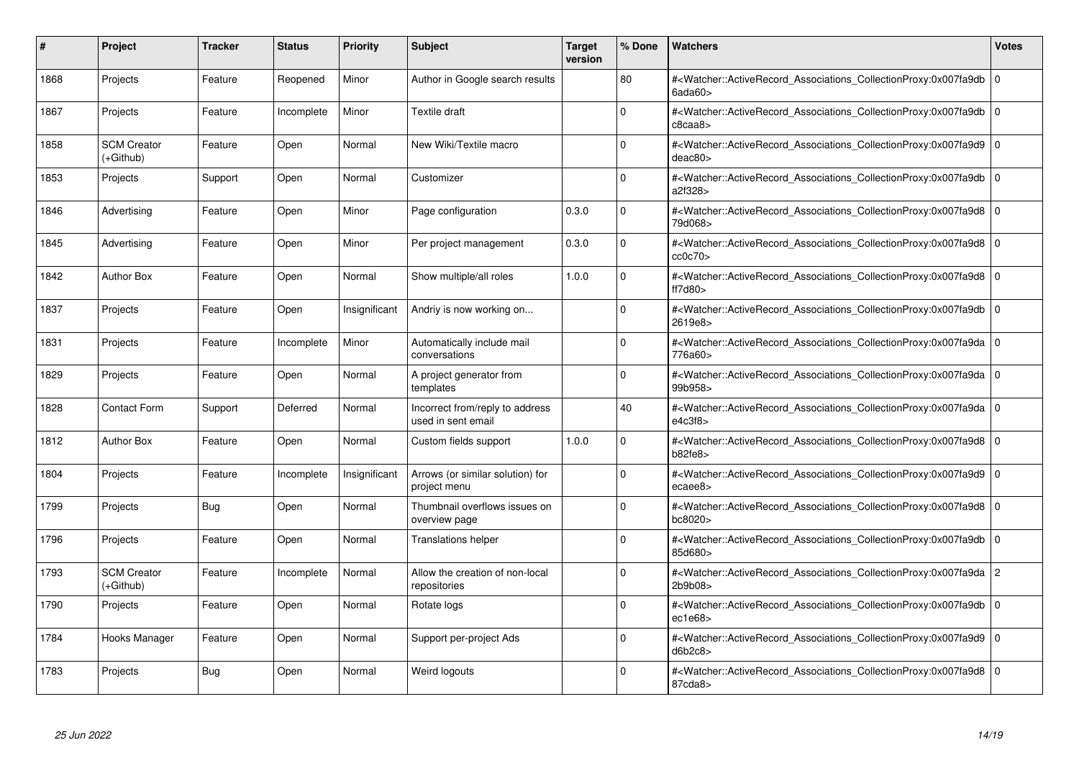| #    | Project                           | <b>Tracker</b> | <b>Status</b> | <b>Priority</b> | <b>Subject</b>                                        | <b>Target</b><br>version | % Done      | Watchers                                                                                                                                                 | <b>Votes</b> |
|------|-----------------------------------|----------------|---------------|-----------------|-------------------------------------------------------|--------------------------|-------------|----------------------------------------------------------------------------------------------------------------------------------------------------------|--------------|
| 1868 | Projects                          | Feature        | Reopened      | Minor           | Author in Google search results                       |                          | 80          | # <watcher::activerecord associations="" collectionproxy:0x007fa9db=""  <br=""><math>6</math>ada<math>60</math></watcher::activerecord>                  | $\mathbf 0$  |
| 1867 | Projects                          | Feature        | Incomplete    | Minor           | Textile draft                                         |                          | 0           | # <watcher::activerecord 0<br="" associations="" collectionproxy:0x007fa9db=""  ="">c8caa8</watcher::activerecord>                                       |              |
| 1858 | <b>SCM Creator</b><br>(+Github)   | Feature        | Open          | Normal          | New Wiki/Textile macro                                |                          | $\Omega$    | # <watcher::activerecord_associations_collectionproxy:0x007fa9d9 0<br="">deac80</watcher::activerecord_associations_collectionproxy:0x007fa9d9>          |              |
| 1853 | Projects                          | Support        | Open          | Normal          | Customizer                                            |                          | $\Omega$    | # <watcher::activerecord_associations_collectionproxy:0x007fa9db 0<br="">a2f328&gt;</watcher::activerecord_associations_collectionproxy:0x007fa9db>      |              |
| 1846 | Advertising                       | Feature        | Open          | Minor           | Page configuration                                    | 0.3.0                    | 0           | # <watcher::activerecord_associations_collectionproxy:0x007fa9d8 0<br=""  ="">79d068&gt;</watcher::activerecord_associations_collectionproxy:0x007fa9d8> |              |
| 1845 | Advertising                       | Feature        | Open          | Minor           | Per project management                                | 0.3.0                    | $\Omega$    | # <watcher::activerecord_associations_collectionproxy:0x007fa9d8 0<br=""  ="">cc0c70&gt;</watcher::activerecord_associations_collectionproxy:0x007fa9d8> |              |
| 1842 | <b>Author Box</b>                 | Feature        | Open          | Normal          | Show multiple/all roles                               | 1.0.0                    | $\Omega$    | # <watcher::activerecord 0<br="" associations="" collectionproxy:0x007fa9d8=""  ="">ft7d80</watcher::activerecord>                                       |              |
| 1837 | Projects                          | Feature        | Open          | Insignificant   | Andriy is now working on                              |                          | $\Omega$    | # <watcher::activerecord_associations_collectionproxy:0x007fa9db 0<br=""  ="">2619e8&gt;</watcher::activerecord_associations_collectionproxy:0x007fa9db> |              |
| 1831 | Projects                          | Feature        | Incomplete    | Minor           | Automatically include mail<br>conversations           |                          | $\Omega$    | # <watcher::activerecord_associations_collectionproxy:0x007fa9da 0<br=""  ="">776a60&gt;</watcher::activerecord_associations_collectionproxy:0x007fa9da> |              |
| 1829 | Projects                          | Feature        | Open          | Normal          | A project generator from<br>templates                 |                          | $\Omega$    | # <watcher::activerecord 0<br="" associations="" collectionproxy:0x007fa9da=""  ="">99b958&gt;</watcher::activerecord>                                   |              |
| 1828 | <b>Contact Form</b>               | Support        | Deferred      | Normal          | Incorrect from/reply to address<br>used in sent email |                          | 40          | # <watcher::activerecord_associations_collectionproxy:0x007fa9da 0<br=""  ="">e4c3f8</watcher::activerecord_associations_collectionproxy:0x007fa9da>     |              |
| 1812 | <b>Author Box</b>                 | Feature        | Open          | Normal          | Custom fields support                                 | 1.0.0                    | $\Omega$    | # <watcher::activerecord_associations_collectionproxy:0x007fa9d8 0<br=""  ="">b82fe8&gt;</watcher::activerecord_associations_collectionproxy:0x007fa9d8> |              |
| 1804 | Projects                          | Feature        | Incomplete    | Insignificant   | Arrows (or similar solution) for<br>project menu      |                          | $\Omega$    | # <watcher::activerecord 0<br="" associations="" collectionproxy:0x007fa9d9=""  ="">ecaee8&gt;</watcher::activerecord>                                   |              |
| 1799 | Projects                          | <b>Bug</b>     | Open          | Normal          | Thumbnail overflows issues on<br>overview page        |                          | $\Omega$    | # <watcher::activerecord_associations_collectionproxy:0x007fa9d8 0<br=""  ="">bc8020&gt;</watcher::activerecord_associations_collectionproxy:0x007fa9d8> |              |
| 1796 | Projects                          | Feature        | Open          | Normal          | <b>Translations helper</b>                            |                          | $\Omega$    | # <watcher::activerecord 0<br="" associations="" collectionproxy:0x007fa9db=""  ="">85d680&gt;</watcher::activerecord>                                   |              |
| 1793 | <b>SCM Creator</b><br>$(+Github)$ | Feature        | Incomplete    | Normal          | Allow the creation of non-local<br>repositories       |                          | $\Omega$    | # <watcher::activerecord_associations_collectionproxy:0x007fa9da 2<br="">2b9b08&gt;</watcher::activerecord_associations_collectionproxy:0x007fa9da>      |              |
| 1790 | Projects                          | Feature        | Open          | Normal          | Rotate logs                                           |                          | $\Omega$    | # <watcher::activerecord_associations_collectionproxy:0x007fa9db 0<br=""  ="">ec1e68</watcher::activerecord_associations_collectionproxy:0x007fa9db>     |              |
| 1784 | Hooks Manager                     | Feature        | Open          | Normal          | Support per-project Ads                               |                          | $\mathbf 0$ | # <watcher::activerecord 0<br="" associations="" collectionproxy:0x007fa9d9=""  ="">d6b2c8</watcher::activerecord>                                       |              |
| 1783 | Projects                          | <b>Bug</b>     | Open          | Normal          | Weird logouts                                         |                          | $\Omega$    | # <watcher::activerecord_associations_collectionproxy:0x007fa9d8 0<br=""  ="">87cda8&gt;</watcher::activerecord_associations_collectionproxy:0x007fa9d8> |              |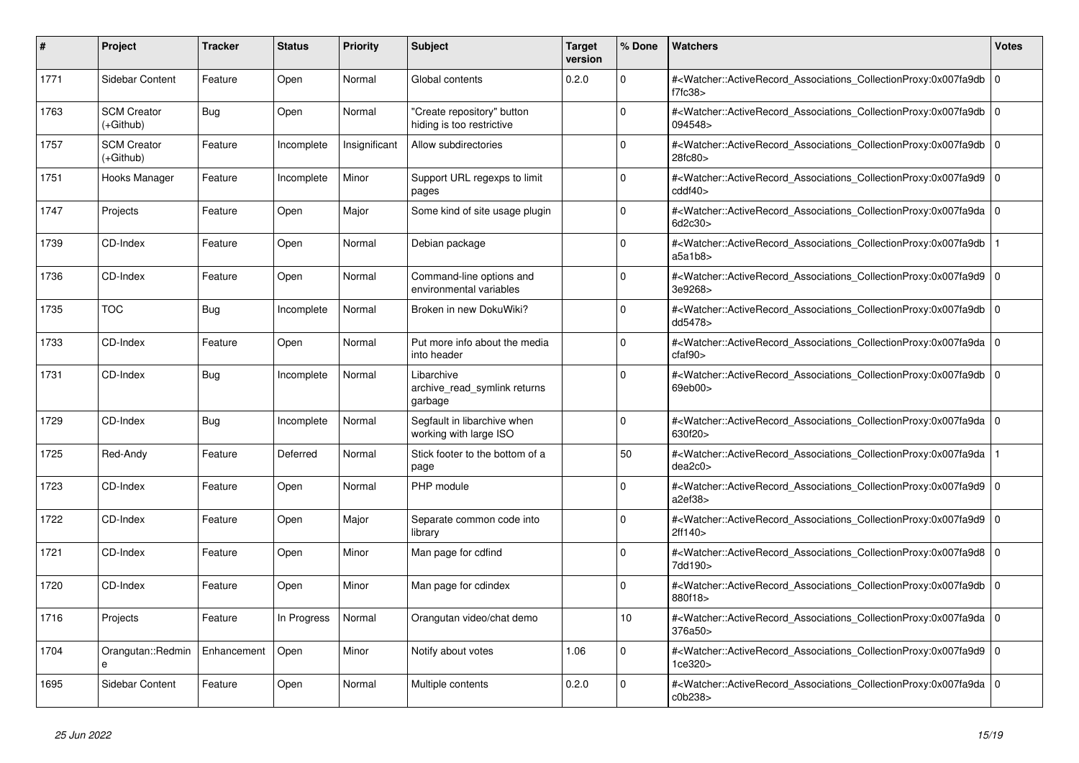| #    | <b>Project</b>                    | <b>Tracker</b> | <b>Status</b> | Priority      | <b>Subject</b>                                          | <b>Target</b><br>version | % Done         | Watchers                                                                                                                                                 | <b>Votes</b> |
|------|-----------------------------------|----------------|---------------|---------------|---------------------------------------------------------|--------------------------|----------------|----------------------------------------------------------------------------------------------------------------------------------------------------------|--------------|
| 1771 | Sidebar Content                   | Feature        | Open          | Normal        | Global contents                                         | 0.2.0                    | $\Omega$       | # <watcher::activerecord_associations_collectionproxy:0x007fa9db 0<br=""  ="">f7fc38</watcher::activerecord_associations_collectionproxy:0x007fa9db>     |              |
| 1763 | <b>SCM Creator</b><br>$(+Github)$ | <b>Bug</b>     | Open          | Normal        | 'Create repository" button<br>hiding is too restrictive |                          | $\Omega$       | # <watcher::activerecord_associations_collectionproxy:0x007fa9db 0<br=""  ="">094548&gt;</watcher::activerecord_associations_collectionproxy:0x007fa9db> |              |
| 1757 | <b>SCM Creator</b><br>(+Github)   | Feature        | Incomplete    | Insignificant | Allow subdirectories                                    |                          | $\Omega$       | # <watcher::activerecord_associations_collectionproxy:0x007fa9db 0<br=""  ="">28fc80&gt;</watcher::activerecord_associations_collectionproxy:0x007fa9db> |              |
| 1751 | Hooks Manager                     | Feature        | Incomplete    | Minor         | Support URL regexps to limit<br>pages                   |                          | $\Omega$       | # <watcher::activerecord_associations_collectionproxy:0x007fa9d9 0<br=""  ="">cddf40</watcher::activerecord_associations_collectionproxy:0x007fa9d9>     |              |
| 1747 | Projects                          | Feature        | Open          | Major         | Some kind of site usage plugin                          |                          | $\Omega$       | # <watcher::activerecord_associations_collectionproxy:0x007fa9da 0<br=""  ="">6d2c30&gt;</watcher::activerecord_associations_collectionproxy:0x007fa9da> |              |
| 1739 | CD-Index                          | Feature        | Open          | Normal        | Debian package                                          |                          | $\Omega$       | # <watcher::activerecord associations="" collectionproxy:0x007fa9db<br="">a5a1b8</watcher::activerecord>                                                 |              |
| 1736 | CD-Index                          | Feature        | Open          | Normal        | Command-line options and<br>environmental variables     |                          | O              | # <watcher::activerecord_associations_collectionproxy:0x007fa9d9 0<br="">3e9268&gt;</watcher::activerecord_associations_collectionproxy:0x007fa9d9>      |              |
| 1735 | <b>TOC</b>                        | Bug            | Incomplete    | Normal        | Broken in new DokuWiki?                                 |                          | $\Omega$       | # <watcher::activerecord_associations_collectionproxy:0x007fa9db 0<br=""  ="">dd5478&gt;</watcher::activerecord_associations_collectionproxy:0x007fa9db> |              |
| 1733 | CD-Index                          | Feature        | Open          | Normal        | Put more info about the media<br>into header            |                          | 0              | # <watcher::activerecord_associations_collectionproxy:0x007fa9da 0<br=""  ="">cfaf90&gt;</watcher::activerecord_associations_collectionproxy:0x007fa9da> |              |
| 1731 | CD-Index                          | Bug            | Incomplete    | Normal        | Libarchive<br>archive_read_symlink returns<br>garbage   |                          | O              | # <watcher::activerecord_associations_collectionproxy:0x007fa9db 0<br=""  ="">69eb00&gt;</watcher::activerecord_associations_collectionproxy:0x007fa9db> |              |
| 1729 | CD-Index                          | <b>Bug</b>     | Incomplete    | Normal        | Segfault in libarchive when<br>working with large ISO   |                          | 0              | # <watcher::activerecord 0<br="" associations="" collectionproxy:0x007fa9da=""  ="">630f20&gt;</watcher::activerecord>                                   |              |
| 1725 | Red-Andy                          | Feature        | Deferred      | Normal        | Stick footer to the bottom of a<br>page                 |                          | 50             | # <watcher::activerecord associations="" collectionproxy:0x007fa9da<br="">dea2c0</watcher::activerecord>                                                 |              |
| 1723 | CD-Index                          | Feature        | Open          | Normal        | PHP module                                              |                          | $\Omega$       | # <watcher::activerecord_associations_collectionproxy:0x007fa9d9 0<br=""  ="">a2ef38</watcher::activerecord_associations_collectionproxy:0x007fa9d9>     |              |
| 1722 | CD-Index                          | Feature        | Open          | Major         | Separate common code into<br>library                    |                          | $\overline{0}$ | # <watcher::activerecord_associations_collectionproxy:0x007fa9d9 0<br="">2ff140&gt;</watcher::activerecord_associations_collectionproxy:0x007fa9d9>      |              |
| 1721 | CD-Index                          | Feature        | Open          | Minor         | Man page for cdfind                                     |                          | 0              | # <watcher::activerecord_associations_collectionproxy:0x007fa9d8 0<br=""  ="">7dd190&gt;</watcher::activerecord_associations_collectionproxy:0x007fa9d8> |              |
| 1720 | CD-Index                          | Feature        | Open          | Minor         | Man page for cdindex                                    |                          | $\Omega$       | # <watcher::activerecord_associations_collectionproxy:0x007fa9db  <br="">880f18&gt;</watcher::activerecord_associations_collectionproxy:0x007fa9db>      | $\Omega$     |
| 1716 | Projects                          | Feature        | In Progress   | Normal        | Orangutan video/chat demo                               |                          | 10             | # <watcher::activerecord 0<br="" associations="" collectionproxy:0x007fa9da=""  ="">376a50&gt;</watcher::activerecord>                                   |              |
| 1704 | Orangutan::Redmin<br>e            | Enhancement    | Open          | Minor         | Notify about votes                                      | 1.06                     | 0              | # <watcher::activerecord_associations_collectionproxy:0x007fa9d9 0<br=""  ="">1ce320&gt;</watcher::activerecord_associations_collectionproxy:0x007fa9d9> |              |
| 1695 | Sidebar Content                   | Feature        | Open          | Normal        | Multiple contents                                       | 0.2.0                    | $\Omega$       | # <watcher::activerecord_associations_collectionproxy:0x007fa9da 0<br=""  ="">c0b238&gt;</watcher::activerecord_associations_collectionproxy:0x007fa9da> |              |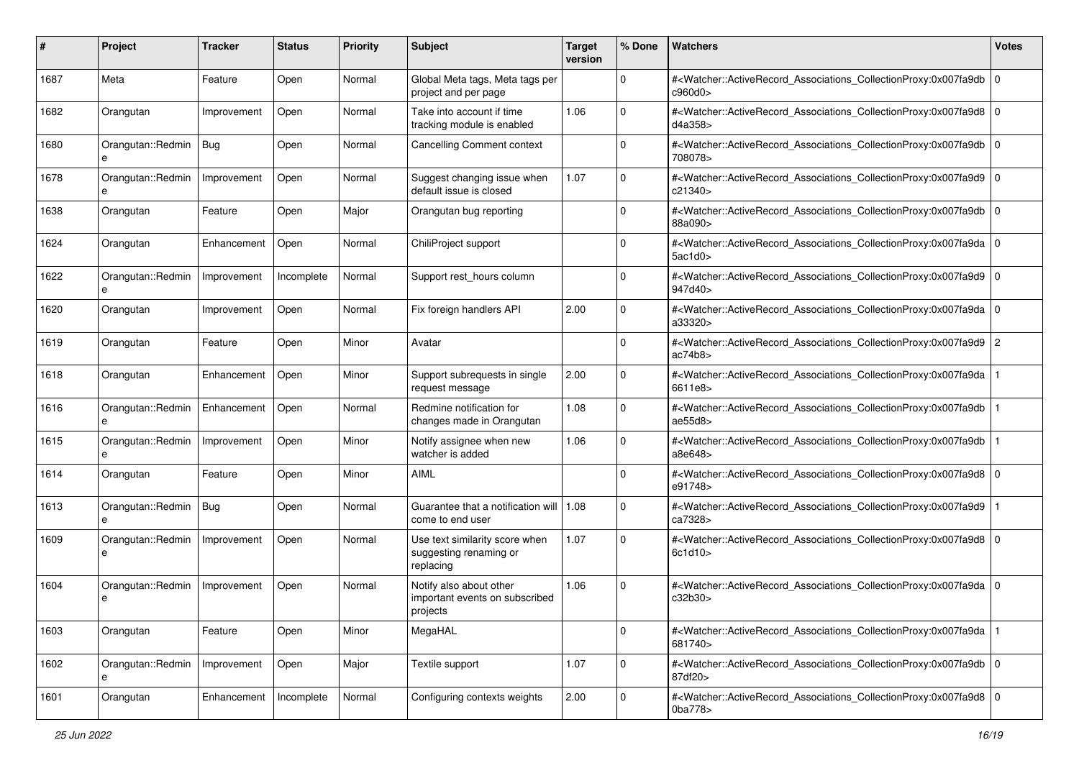| #    | Project                 | <b>Tracker</b> | <b>Status</b> | <b>Priority</b> | <b>Subject</b>                                                        | <b>Target</b><br>version | % Done      | <b>Watchers</b>                                                                                                                                          | <b>Votes</b> |
|------|-------------------------|----------------|---------------|-----------------|-----------------------------------------------------------------------|--------------------------|-------------|----------------------------------------------------------------------------------------------------------------------------------------------------------|--------------|
| 1687 | Meta                    | Feature        | Open          | Normal          | Global Meta tags, Meta tags per<br>project and per page               |                          | $\mathbf 0$ | # <watcher::activerecord_associations_collectionproxy:0x007fa9db 0<br="">c960d0&gt;</watcher::activerecord_associations_collectionproxy:0x007fa9db>      |              |
| 1682 | Orangutan               | Improvement    | Open          | Normal          | Take into account if time<br>tracking module is enabled               | 1.06                     | $\Omega$    | # <watcher::activerecord_associations_collectionproxy:0x007fa9d8 0<br=""  ="">d4a358&gt;</watcher::activerecord_associations_collectionproxy:0x007fa9d8> |              |
| 1680 | Orangutan::Redmin<br>e  | Bug            | Open          | Normal          | <b>Cancelling Comment context</b>                                     |                          | $\Omega$    | # <watcher::activerecord_associations_collectionproxy:0x007fa9db 0<br="">708078&gt;</watcher::activerecord_associations_collectionproxy:0x007fa9db>      |              |
| 1678 | Orangutan::Redmin<br>e  | Improvement    | Open          | Normal          | Suggest changing issue when<br>default issue is closed                | 1.07                     | 0           | # <watcher::activerecord_associations_collectionproxy:0x007fa9d9 0<br="">c21340&gt;</watcher::activerecord_associations_collectionproxy:0x007fa9d9>      |              |
| 1638 | Orangutan               | Feature        | Open          | Major           | Orangutan bug reporting                                               |                          | $\Omega$    | # <watcher::activerecord_associations_collectionproxy:0x007fa9db 0<br="">88a090&gt;</watcher::activerecord_associations_collectionproxy:0x007fa9db>      |              |
| 1624 | Orangutan               | Enhancement    | Open          | Normal          | ChiliProject support                                                  |                          | 0           | # <watcher::activerecord_associations_collectionproxy:0x007fa9da 0<br=""  ="">5ac1d0</watcher::activerecord_associations_collectionproxy:0x007fa9da>     |              |
| 1622 | Orangutan::Redmin       | Improvement    | Incomplete    | Normal          | Support rest_hours column                                             |                          | $\Omega$    | # <watcher::activerecord_associations_collectionproxy:0x007fa9d9 0<br="">947d40&gt;</watcher::activerecord_associations_collectionproxy:0x007fa9d9>      |              |
| 1620 | Orangutan               | Improvement    | Open          | Normal          | Fix foreign handlers API                                              | 2.00                     | $\mathbf 0$ | # <watcher::activerecord_associations_collectionproxy:0x007fa9da 0<br="">a33320&gt;</watcher::activerecord_associations_collectionproxy:0x007fa9da>      |              |
| 1619 | Orangutan               | Feature        | Open          | Minor           | Avatar                                                                |                          | $\Omega$    | # <watcher::activerecord_associations_collectionproxy:0x007fa9d9 2<br="">ac74b8</watcher::activerecord_associations_collectionproxy:0x007fa9d9>          |              |
| 1618 | Orangutan               | Enhancement    | Open          | Minor           | Support subrequests in single<br>request message                      | 2.00                     | $\Omega$    | # <watcher::activerecord_associations_collectionproxy:0x007fa9da<br>6611e8&gt;</watcher::activerecord_associations_collectionproxy:0x007fa9da<br>        |              |
| 1616 | Orangutan::Redmin<br>e  | Enhancement    | Open          | Normal          | Redmine notification for<br>changes made in Orangutan                 | 1.08                     | $\mathbf 0$ | # <watcher::activerecord_associations_collectionproxy:0x007fa9db<br>ae55d8</watcher::activerecord_associations_collectionproxy:0x007fa9db<br>            |              |
| 1615 | Orangutan::Redmin<br>e  | Improvement    | Open          | Minor           | Notify assignee when new<br>watcher is added                          | 1.06                     | $\Omega$    | # <watcher::activerecord_associations_collectionproxy:0x007fa9db<br>a8e648&gt;</watcher::activerecord_associations_collectionproxy:0x007fa9db<br>        |              |
| 1614 | Orangutan               | Feature        | Open          | Minor           | <b>AIML</b>                                                           |                          | $\Omega$    | # <watcher::activerecord_associations_collectionproxy:0x007fa9d8 0<br=""  ="">e91748&gt;</watcher::activerecord_associations_collectionproxy:0x007fa9d8> |              |
| 1613 | Orangutan::Redmin   Bug |                | Open          | Normal          | Guarantee that a notification will<br>come to end user                | 1.08                     | $\Omega$    | # <watcher::activerecord_associations_collectionproxy:0x007fa9d9<br>ca7328&gt;</watcher::activerecord_associations_collectionproxy:0x007fa9d9<br>        |              |
| 1609 | Orangutan::Redmin<br>e  | Improvement    | Open          | Normal          | Use text similarity score when<br>suggesting renaming or<br>replacing | 1.07                     | $\mathbf 0$ | # <watcher::activerecord_associations_collectionproxy:0x007fa9d8 0<br=""  ="">6c1d10</watcher::activerecord_associations_collectionproxy:0x007fa9d8>     |              |
| 1604 | Orangutan::Redmin<br>e  | Improvement    | Open          | Normal          | Notify also about other<br>important events on subscribed<br>projects | 1.06                     | $\Omega$    | # <watcher::activerecord_associations_collectionproxy:0x007fa9da 0<br="">c32b30&gt;</watcher::activerecord_associations_collectionproxy:0x007fa9da>      |              |
| 1603 | Orangutan               | Feature        | Open          | Minor           | MegaHAL                                                               |                          | 0           | # <watcher::activerecord_associations_collectionproxy:0x007fa9da<br>681740&gt;</watcher::activerecord_associations_collectionproxy:0x007fa9da<br>        |              |
| 1602 | Orangutan::Redmin<br>e  | Improvement    | Open          | Major           | Textile support                                                       | 1.07                     | $\mathbf 0$ | # <watcher::activerecord_associations_collectionproxy:0x007fa9db 0<br="">87df20&gt;</watcher::activerecord_associations_collectionproxy:0x007fa9db>      |              |
| 1601 | Orangutan               | Enhancement    | Incomplete    | Normal          | Configuring contexts weights                                          | 2.00                     | $\mathbf 0$ | # <watcher::activerecord_associations_collectionproxy:0x007fa9d8 0<br="">0ba778&gt;</watcher::activerecord_associations_collectionproxy:0x007fa9d8>      |              |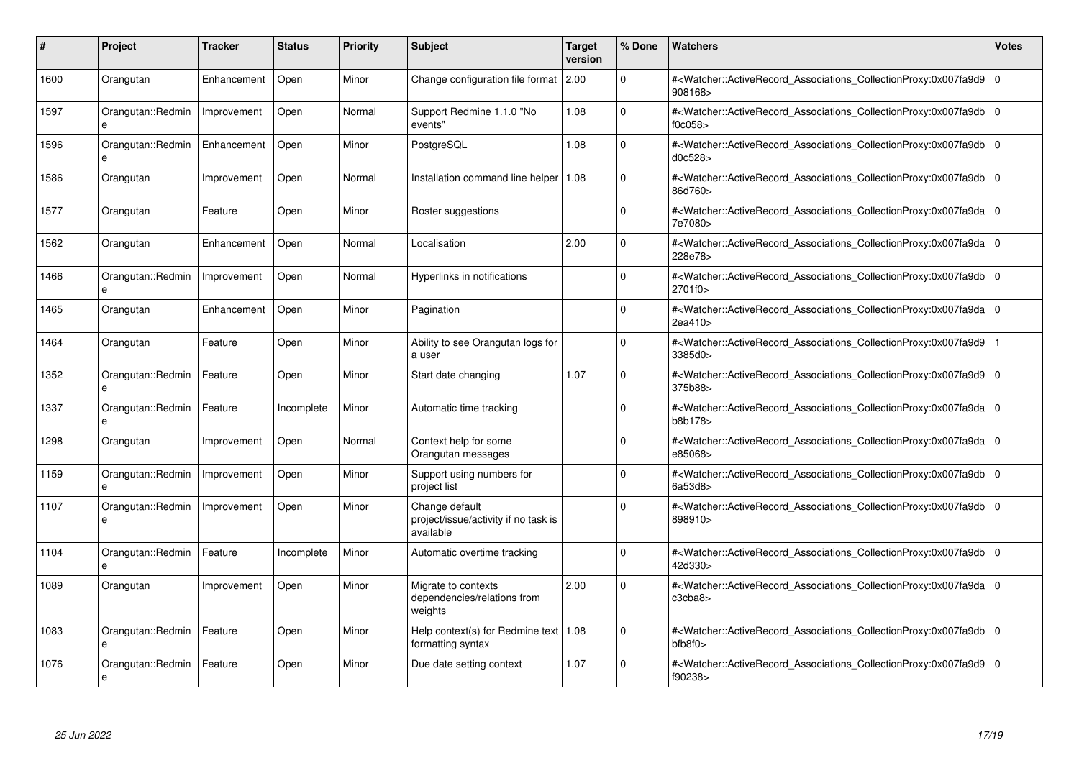| #    | Project                           | <b>Tracker</b> | <b>Status</b> | <b>Priority</b> | <b>Subject</b>                                                      | <b>Target</b><br>version | % Done      | <b>Watchers</b>                                                                                                                                          | <b>Votes</b> |
|------|-----------------------------------|----------------|---------------|-----------------|---------------------------------------------------------------------|--------------------------|-------------|----------------------------------------------------------------------------------------------------------------------------------------------------------|--------------|
| 1600 | Orangutan                         | Enhancement    | Open          | Minor           | Change configuration file format 2.00                               |                          | 0           | # <watcher::activerecord_associations_collectionproxy:0x007fa9d9 0<br=""  ="">908168&gt;</watcher::activerecord_associations_collectionproxy:0x007fa9d9> |              |
| 1597 | Orangutan::Redmin<br>e            | Improvement    | Open          | Normal          | Support Redmine 1.1.0 "No<br>events"                                | 1.08                     | $\mathbf 0$ | # <watcher::activerecord 0<br="" associations="" collectionproxy:0x007fa9db=""  ="">f0c058</watcher::activerecord>                                       |              |
| 1596 | Orangutan::Redmin<br>e            | Enhancement    | Open          | Minor           | PostgreSQL                                                          | 1.08                     | $\mathbf 0$ | # <watcher::activerecord_associations_collectionproxy:0x007fa9db 0<br="">d0c528&gt;</watcher::activerecord_associations_collectionproxy:0x007fa9db>      |              |
| 1586 | Orangutan                         | Improvement    | Open          | Normal          | Installation command line helper                                    | 1.08                     | $\Omega$    | # <watcher::activerecord_associations_collectionproxy:0x007fa9db 0<br="">86d760&gt;</watcher::activerecord_associations_collectionproxy:0x007fa9db>      |              |
| 1577 | Orangutan                         | Feature        | Open          | Minor           | Roster suggestions                                                  |                          | $\Omega$    | # <watcher::activerecord_associations_collectionproxy:0x007fa9da 0<br="">7e7080&gt;</watcher::activerecord_associations_collectionproxy:0x007fa9da>      |              |
| 1562 | Orangutan                         | Enhancement    | Open          | Normal          | Localisation                                                        | 2.00                     | $\Omega$    | # <watcher::activerecord 0<br="" associations="" collectionproxy:0x007fa9da=""  ="">228e78&gt;</watcher::activerecord>                                   |              |
| 1466 | Orangutan::Redmin<br>e            | Improvement    | Open          | Normal          | Hyperlinks in notifications                                         |                          | $\Omega$    | # <watcher::activerecord_associations_collectionproxy:0x007fa9db 0<br="">2701f0&gt;</watcher::activerecord_associations_collectionproxy:0x007fa9db>      |              |
| 1465 | Orangutan                         | Enhancement    | Open          | Minor           | Pagination                                                          |                          | $\Omega$    | # <watcher::activerecord_associations_collectionproxy:0x007fa9da 0<br="">2ea410&gt;</watcher::activerecord_associations_collectionproxy:0x007fa9da>      |              |
| 1464 | Orangutan                         | Feature        | Open          | Minor           | Ability to see Orangutan logs for<br>a user                         |                          | $\Omega$    | # <watcher::activerecord_associations_collectionproxy:0x007fa9d9<br>3385d0&gt;</watcher::activerecord_associations_collectionproxy:0x007fa9d9<br>        |              |
| 1352 | Orangutan::Redmin<br>e            | Feature        | Open          | Minor           | Start date changing                                                 | 1.07                     | $\Omega$    | # <watcher::activerecord 0<br="" associations="" collectionproxy:0x007fa9d9=""  ="">375b88&gt;</watcher::activerecord>                                   |              |
| 1337 | Orangutan::Redmin<br>e            | Feature        | Incomplete    | Minor           | Automatic time tracking                                             |                          | $\Omega$    | # <watcher::activerecord 0<br="" associations="" collectionproxy:0x007fa9da=""  ="">b8b178&gt;</watcher::activerecord>                                   |              |
| 1298 | Orangutan                         | Improvement    | Open          | Normal          | Context help for some<br>Orangutan messages                         |                          | $\Omega$    | # <watcher::activerecord_associations_collectionproxy:0x007fa9da 0<br=""  ="">e85068&gt;</watcher::activerecord_associations_collectionproxy:0x007fa9da> |              |
| 1159 | Orangutan::Redmin<br>$\mathbf{a}$ | Improvement    | Open          | Minor           | Support using numbers for<br>project list                           |                          | $\Omega$    | # <watcher::activerecord_associations_collectionproxy:0x007fa9db 0<br="">6a53d8&gt;</watcher::activerecord_associations_collectionproxy:0x007fa9db>      |              |
| 1107 | Orangutan::Redmin<br>e            | Improvement    | Open          | Minor           | Change default<br>project/issue/activity if no task is<br>available |                          | $\Omega$    | # <watcher::activerecord 0<br="" associations="" collectionproxy:0x007fa9db=""  ="">898910&gt;</watcher::activerecord>                                   |              |
| 1104 | Orangutan::Redmin                 | Feature        | Incomplete    | Minor           | Automatic overtime tracking                                         |                          | $\Omega$    | # <watcher::activerecord_associations_collectionproxy:0x007fa9db 0<br="">42d330&gt;</watcher::activerecord_associations_collectionproxy:0x007fa9db>      |              |
| 1089 | Orangutan                         | Improvement    | Open          | Minor           | Migrate to contexts<br>dependencies/relations from<br>weights       | 2.00                     | $\Omega$    | # <watcher::activerecord_associations_collectionproxy:0x007fa9da 0<br="">c3cba8&gt;</watcher::activerecord_associations_collectionproxy:0x007fa9da>      |              |
| 1083 | Orangutan::Redmin<br>e            | Feature        | Open          | Minor           | Help context(s) for Redmine text   1.08<br>formatting syntax        |                          | $\Omega$    | # <watcher::activerecord 0<br="" associations="" collectionproxy:0x007fa9db=""  ="">bfb8f0</watcher::activerecord>                                       |              |
| 1076 | Orangutan::Redmin<br>e            | Feature        | Open          | Minor           | Due date setting context                                            | 1.07                     | $\Omega$    | # <watcher::activerecord_associations_collectionproxy:0x007fa9d9 0<br="">f90238&gt;</watcher::activerecord_associations_collectionproxy:0x007fa9d9>      |              |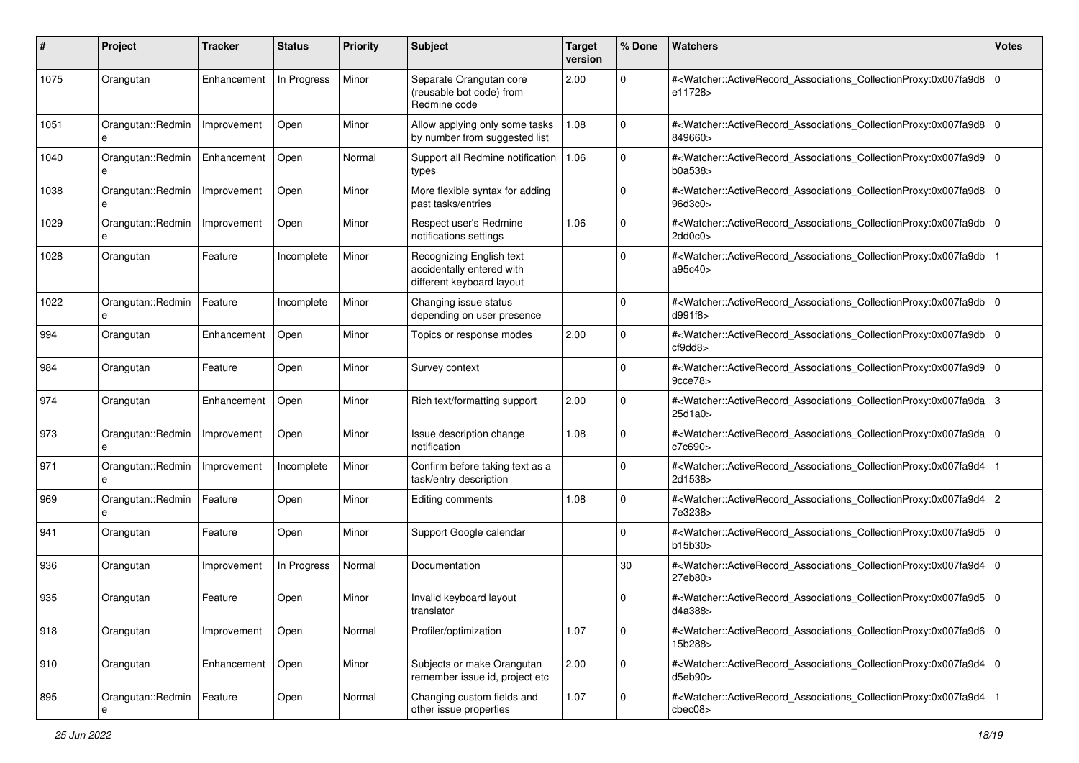| #             | Project                | <b>Tracker</b> | <b>Status</b> | <b>Priority</b> | <b>Subject</b>                                                                     | <b>Target</b><br>version | % Done              | <b>Watchers</b>                                                                                                                                                     | <b>Votes</b> |
|---------------|------------------------|----------------|---------------|-----------------|------------------------------------------------------------------------------------|--------------------------|---------------------|---------------------------------------------------------------------------------------------------------------------------------------------------------------------|--------------|
| 1075          | Orangutan              | Enhancement    | In Progress   | Minor           | Separate Orangutan core<br>(reusable bot code) from<br>Redmine code                | 2.00                     | $\mathbf{0}$        | # <watcher::activerecord_associations_collectionproxy:0x007fa9d8 0<br="">e11728&gt;</watcher::activerecord_associations_collectionproxy:0x007fa9d8>                 |              |
| 1051          | Orangutan::Redmin<br>e | Improvement    | Open          | Minor           | Allow applying only some tasks<br>by number from suggested list                    | 1.08                     | $\mathbf{0}$        | # <watcher::activerecord_associations_collectionproxy:0x007fa9d8 0<br="">849660&gt;</watcher::activerecord_associations_collectionproxy:0x007fa9d8>                 |              |
| 1040          | Orangutan::Redmin<br>e | Enhancement    | Open          | Normal          | Support all Redmine notification<br>types                                          | 1.06                     | 0                   | # <watcher::activerecord_associations_collectionproxy:0x007fa9d9 0<br=""  ="">b0a538&gt;</watcher::activerecord_associations_collectionproxy:0x007fa9d9>            |              |
| 1038          | Orangutan::Redmin<br>e | Improvement    | Open          | Minor           | More flexible syntax for adding<br>past tasks/entries                              |                          | 0                   | # <watcher::activerecord_associations_collectionproxy:0x007fa9d8 0<br=""  ="">96d3c0&gt;</watcher::activerecord_associations_collectionproxy:0x007fa9d8>            |              |
| 1029          | Orangutan::Redmin<br>e | Improvement    | Open          | Minor           | Respect user's Redmine<br>notifications settings                                   | 1.06                     | 0                   | # <watcher::activerecord_associations_collectionproxy:0x007fa9db 0<br=""  ="">2dd0c0&gt;</watcher::activerecord_associations_collectionproxy:0x007fa9db>            |              |
| 1028          | Orangutan              | Feature        | Incomplete    | Minor           | Recognizing English text<br>accidentally entered with<br>different keyboard layout |                          | $\Omega$            | # <watcher::activerecord_associations_collectionproxy:0x007fa9db<br>a95c40&gt;</watcher::activerecord_associations_collectionproxy:0x007fa9db<br>                   |              |
| 1022          | Orangutan::Redmin<br>e | Feature        | Incomplete    | Minor           | Changing issue status<br>depending on user presence                                |                          | 0                   | # <watcher::activerecord_associations_collectionproxy:0x007fa9db 0<br=""  ="">d991f8&gt;</watcher::activerecord_associations_collectionproxy:0x007fa9db>            |              |
| 994           | Orangutan              | Enhancement    | Open          | Minor           | Topics or response modes                                                           | 2.00                     | $\Omega$            | # <watcher::activerecord_associations_collectionproxy:0x007fa9db 0<br=""  ="">cf9dd8&gt;</watcher::activerecord_associations_collectionproxy:0x007fa9db>            |              |
| 984           | Orangutan              | Feature        | Open          | Minor           | Survey context                                                                     |                          | $\Omega$            | # <watcher::activerecord_associations_collectionproxy:0x007fa9d9 0<br="">9cce78&gt;</watcher::activerecord_associations_collectionproxy:0x007fa9d9>                 |              |
| 974           | Orangutan              | Enhancement    | Open          | Minor           | Rich text/formatting support                                                       | 2.00                     | 0                   | # <watcher::activerecord_associations_collectionproxy:0x007fa9da 3<br="">25d1a0&gt;</watcher::activerecord_associations_collectionproxy:0x007fa9da>                 |              |
| 973           | Orangutan::Redmin<br>e | Improvement    | Open          | Minor           | Issue description change<br>notification                                           | 1.08                     | $\Omega$            | # <watcher::activerecord_associations_collectionproxy:0x007fa9da 0<br="">c7c690&gt;</watcher::activerecord_associations_collectionproxy:0x007fa9da>                 |              |
| 971           | Orangutan::Redmin<br>e | Improvement    | Incomplete    | Minor           | Confirm before taking text as a<br>task/entry description                          |                          | $\Omega$            | # <watcher::activerecord_associations_collectionproxy:0x007fa9d4<br>2d1538&gt;</watcher::activerecord_associations_collectionproxy:0x007fa9d4<br>                   |              |
| 969           | Orangutan::Redmin<br>e | Feature        | Open          | Minor           | Editing comments                                                                   | 1.08                     | $\mathbf 0$         | # <watcher::activerecord_associations_collectionproxy:0x007fa9d4 2<br="">7e3238&gt;</watcher::activerecord_associations_collectionproxy:0x007fa9d4>                 |              |
| 941           | Orangutan              | Feature        | Open          | Minor           | Support Google calendar                                                            |                          | 0                   | # <watcher::activerecord_associations_collectionproxy:0x007fa9d5 0<br="">b15b30</watcher::activerecord_associations_collectionproxy:0x007fa9d5>                     |              |
| 936           | Orangutan              | Improvement    | In Progress   | Normal          | Documentation                                                                      |                          | 30                  | # <watcher::activerecord_associations_collectionproxy:0x007fa9d4 0<br="">27eb80&gt;</watcher::activerecord_associations_collectionproxy:0x007fa9d4>                 |              |
| 935           | Orangutan              | Feature        | Open          | Minor           | Invalid keyboard layout<br>translator                                              |                          | 0                   | # <watcher::activerecord_associations_collectionproxy:0x007fa9d5 0<br=""  ="">d4a388&gt;</watcher::activerecord_associations_collectionproxy:0x007fa9d5>            |              |
| 918           | Orangutan              | Improvement    | Open          | Normal          | Profiler/optimization                                                              | 1.07                     | $\mathsf{O}\xspace$ | # <watcher::activerecord_associations_collectionproxy:0x007fa9d6 0<br=""  ="">15b288&gt;</watcher::activerecord_associations_collectionproxy:0x007fa9d6>            |              |
| $ 910\rangle$ | Orangutan              | Enhancement    | Open          | Minor           | Subjects or make Orangutan<br>remember issue id, project etc                       | 2.00                     | $\overline{0}$      | # <watcher::activerecord_associations_collectionproxy:0x007fa9d4 0<br=""  ="">d5eb90&gt;</watcher::activerecord_associations_collectionproxy:0x007fa9d4>            |              |
| 895           | Orangutan::Redmin      | Feature        | Open          | Normal          | Changing custom fields and<br>other issue properties                               | 1.07                     | $\pmb{0}$           | # <watcher::activerecord_associations_collectionproxy:0x007fa9d4 1<br=""  ="">chec08<sub>&gt;</sub></watcher::activerecord_associations_collectionproxy:0x007fa9d4> |              |